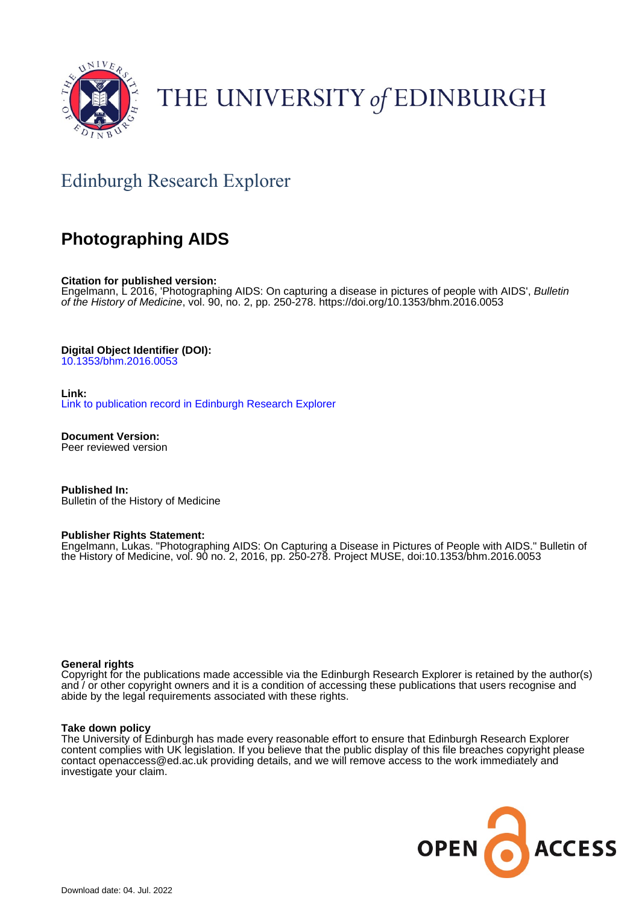

# THE UNIVERSITY of EDINBURGH

# Edinburgh Research Explorer

## **Photographing AIDS**

**Citation for published version:**

Engelmann, L 2016, 'Photographing AIDS: On capturing a disease in pictures of people with AIDS', Bulletin of the History of Medicine, vol. 90, no. 2, pp. 250-278.<https://doi.org/10.1353/bhm.2016.0053>

**Digital Object Identifier (DOI):**

[10.1353/bhm.2016.0053](https://doi.org/10.1353/bhm.2016.0053)

**Link:**

[Link to publication record in Edinburgh Research Explorer](https://www.research.ed.ac.uk/en/publications/8c2cc6cd-5152-498e-8dbf-406ed57c1f55)

**Document Version:** Peer reviewed version

**Published In:** Bulletin of the History of Medicine

#### **Publisher Rights Statement:**

Engelmann, Lukas. "Photographing AIDS: On Capturing a Disease in Pictures of People with AIDS." Bulletin of the History of Medicine, vol. 90 no. 2, 2016, pp. 250-278. Project MUSE, doi:10.1353/bhm.2016.0053

#### **General rights**

Copyright for the publications made accessible via the Edinburgh Research Explorer is retained by the author(s) and / or other copyright owners and it is a condition of accessing these publications that users recognise and abide by the legal requirements associated with these rights.

#### **Take down policy**

The University of Edinburgh has made every reasonable effort to ensure that Edinburgh Research Explorer content complies with UK legislation. If you believe that the public display of this file breaches copyright please contact openaccess@ed.ac.uk providing details, and we will remove access to the work immediately and investigate your claim.

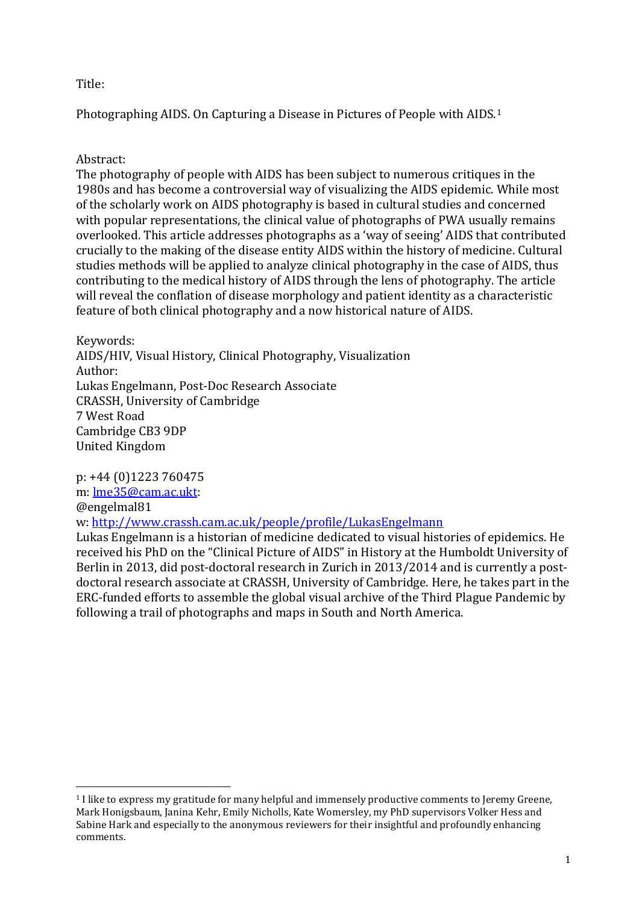### Title:

Photographing AIDS. On Capturing a Disease in Pictures of People with AIDS.[1](#page-1-0)

### Abstract:

The photography of people with AIDS has been subject to numerous critiques in the 1980s and has become a controversial way of visualizing the AIDS epidemic. While most of the scholarly work on AIDS photography is based in cultural studies and concerned with popular representations, the clinical value of photographs of PWA usually remains overlooked. This article addresses photographs as a 'way of seeing' AIDS that contributed crucially to the making of the disease entity AIDS within the history of medicine. Cultural studies methods will be applied to analyze clinical photography in the case of AIDS, thus contributing to the medical history of AIDS through the lens of photography. The article will reveal the conflation of disease morphology and patient identity as a characteristic feature of both clinical photography and a now historical nature of AIDS.

Keywords: AIDS/HIV, Visual History, Clinical Photography, Visualization Author: Lukas Engelmann, Post-Doc Research Associate CRASSH, University of Cambridge 7 West Road Cambridge CB3 9DP United Kingdom

p: +44 (0)1223 760475 m: [lme35@cam.ac.ukt:](mailto:lme35@cam.ac.ukt) @engelmal81 w: <http://www.crassh.cam.ac.uk/people/profile/LukasEngelmann> Lukas Engelmann is a historian of medicine dedicated to visual histories of epidemics. He

received his PhD on the "Clinical Picture of AIDS" in History at the Humboldt University of Berlin in 2013, did post-doctoral research in Zurich in 2013/2014 and is currently a postdoctoral research associate at CRASSH, University of Cambridge. Here, he takes part in the ERC-funded efforts to assemble the global visual archive of the Third Plague Pandemic by following a trail of photographs and maps in South and North America.

<span id="page-1-0"></span><sup>1</sup> I like to express my gratitude for many helpful and immensely productive comments to Jeremy Greene, Mark Honigsbaum, Janina Kehr, Emily Nicholls, Kate Womersley, my PhD supervisors Volker Hess and Sabine Hark and especially to the anonymous reviewers for their insightful and profoundly enhancing comments. i<br>I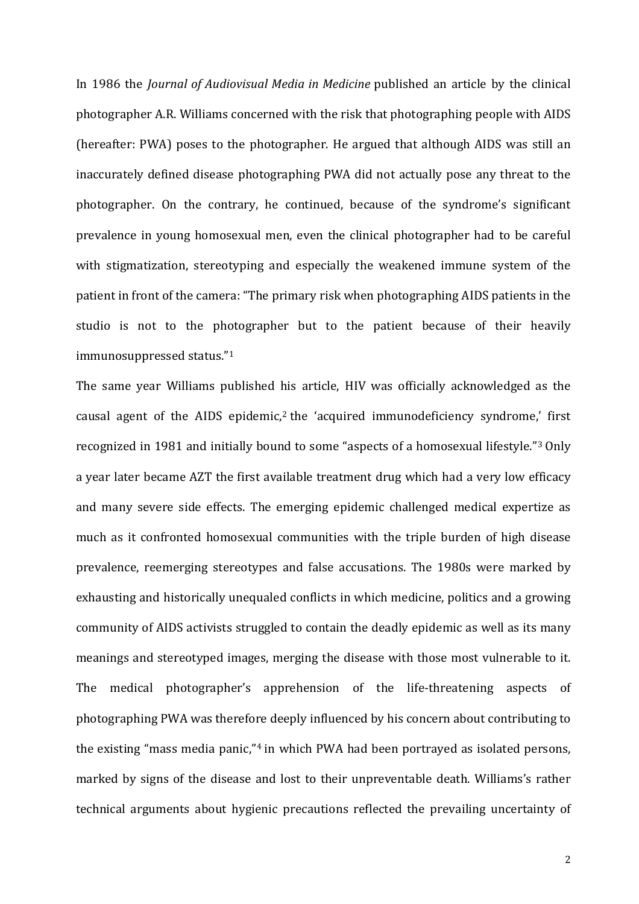In 1986 the *Journal of Audiovisual Media in Medicine* published an article by the clinical photographer A.R. Williams concerned with the risk that photographing people with AIDS (hereafter: PWA) poses to the photographer. He argued that although AIDS was still an inaccurately defined disease photographing PWA did not actually pose any threat to the photographer. On the contrary, he continued, because of the syndrome's significant prevalence in young homosexual men, even the clinical photographer had to be careful with stigmatization, stereotyping and especially the weakened immune system of the patient in front of the camera: "The primary risk when photographing AIDS patients in the studio is not to the photographer but to the patient because of their heavily immunosuppressed status."[1](#page-13-0)

The same year Williams published his article, HIV was officially acknowledged as the causal agent of the AIDS epidemic,<sup>[2](#page-13-1)</sup> the 'acquired immunodeficiency syndrome,' first recognized in 1981 and initially bound to some "aspects of a homosexual lifestyle."[3](#page-13-2) Only a year later became AZT the first available treatment drug which had a very low efficacy and many severe side effects. The emerging epidemic challenged medical expertize as much as it confronted homosexual communities with the triple burden of high disease prevalence, reemerging stereotypes and false accusations. The 1980s were marked by exhausting and historically unequaled conflicts in which medicine, politics and a growing community of AIDS activists struggled to contain the deadly epidemic as well as its many meanings and stereotyped images, merging the disease with those most vulnerable to it. The medical photographer's apprehension of the life-threatening aspects of photographing PWA was therefore deeply influenced by his concern about contributing to the existing "mass media panic,"[4](#page-13-3) in which PWA had been portrayed as isolated persons, marked by signs of the disease and lost to their unpreventable death. Williams's rather technical arguments about hygienic precautions reflected the prevailing uncertainty of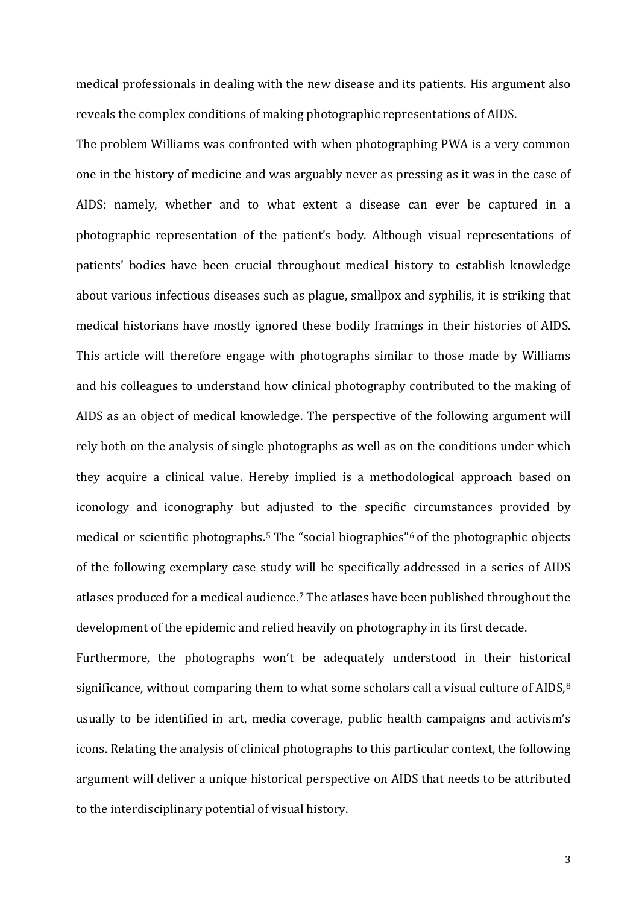medical professionals in dealing with the new disease and its patients. His argument also reveals the complex conditions of making photographic representations of AIDS.

The problem Williams was confronted with when photographing PWA is a very common one in the history of medicine and was arguably never as pressing as it was in the case of AIDS: namely, whether and to what extent a disease can ever be captured in a photographic representation of the patient's body. Although visual representations of patients' bodies have been crucial throughout medical history to establish knowledge about various infectious diseases such as plague, smallpox and syphilis, it is striking that medical historians have mostly ignored these bodily framings in their histories of AIDS. This article will therefore engage with photographs similar to those made by Williams and his colleagues to understand how clinical photography contributed to the making of AIDS as an object of medical knowledge. The perspective of the following argument will rely both on the analysis of single photographs as well as on the conditions under which they acquire a clinical value. Hereby implied is a methodological approach based on iconology and iconography but adjusted to the specific circumstances provided by medical or scientific photographs.[5](#page-14-0) The "social biographies"[6](#page-14-1) of the photographic objects of the following exemplary case study will be specifically addressed in a series of AIDS atlases produced for a medical audience.[7](#page-14-2) The atlases have been published throughout the development of the epidemic and relied heavily on photography in its first decade.

Furthermore, the photographs won't be adequately understood in their historical significance, without comparing them to what some scholars call a visual culture of AIDS,<sup>[8](#page-14-3)</sup> usually to be identified in art, media coverage, public health campaigns and activism's icons. Relating the analysis of clinical photographs to this particular context, the following argument will deliver a unique historical perspective on AIDS that needs to be attributed to the interdisciplinary potential of visual history.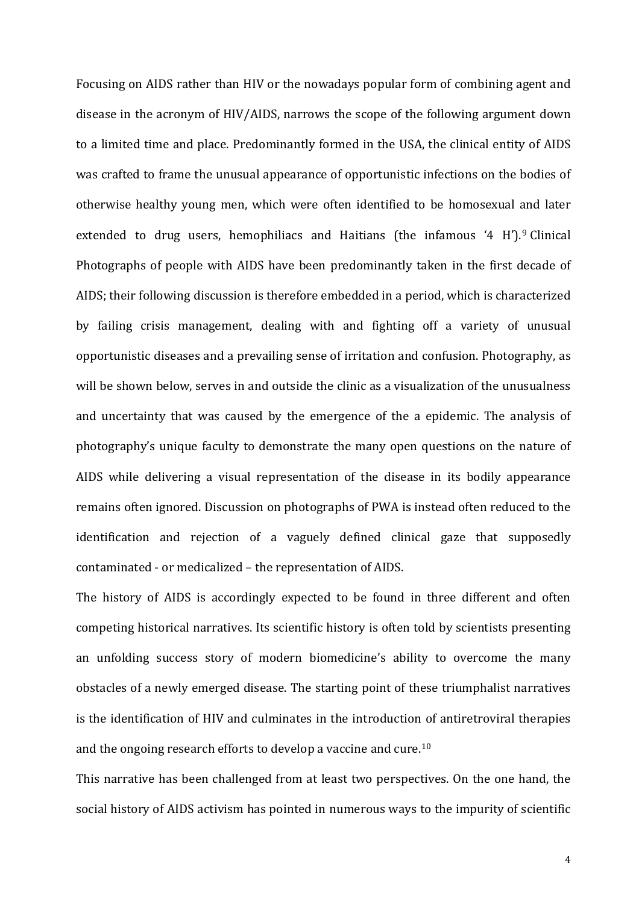Focusing on AIDS rather than HIV or the nowadays popular form of combining agent and disease in the acronym of HIV/AIDS, narrows the scope of the following argument down to a limited time and place. Predominantly formed in the USA, the clinical entity of AIDS was crafted to frame the unusual appearance of opportunistic infections on the bodies of otherwise healthy young men, which were often identified to be homosexual and later extended to drug users, hemophiliacs and Haitians (the infamous '4 H').<sup>[9](#page-15-0)</sup> Clinical Photographs of people with AIDS have been predominantly taken in the first decade of AIDS; their following discussion is therefore embedded in a period, which is characterized by failing crisis management, dealing with and fighting off a variety of unusual opportunistic diseases and a prevailing sense of irritation and confusion. Photography, as will be shown below, serves in and outside the clinic as a visualization of the unusualness and uncertainty that was caused by the emergence of the a epidemic. The analysis of photography's unique faculty to demonstrate the many open questions on the nature of AIDS while delivering a visual representation of the disease in its bodily appearance remains often ignored. Discussion on photographs of PWA is instead often reduced to the identification and rejection of a vaguely defined clinical gaze that supposedly contaminated - or medicalized – the representation of AIDS.

The history of AIDS is accordingly expected to be found in three different and often competing historical narratives. Its scientific history is often told by scientists presenting an unfolding success story of modern biomedicine's ability to overcome the many obstacles of a newly emerged disease. The starting point of these triumphalist narratives is the identification of HIV and culminates in the introduction of antiretroviral therapies and the ongoing research efforts to develop a vaccine and cure.[10](#page-15-1)

This narrative has been challenged from at least two perspectives. On the one hand, the social history of AIDS activism has pointed in numerous ways to the impurity of scientific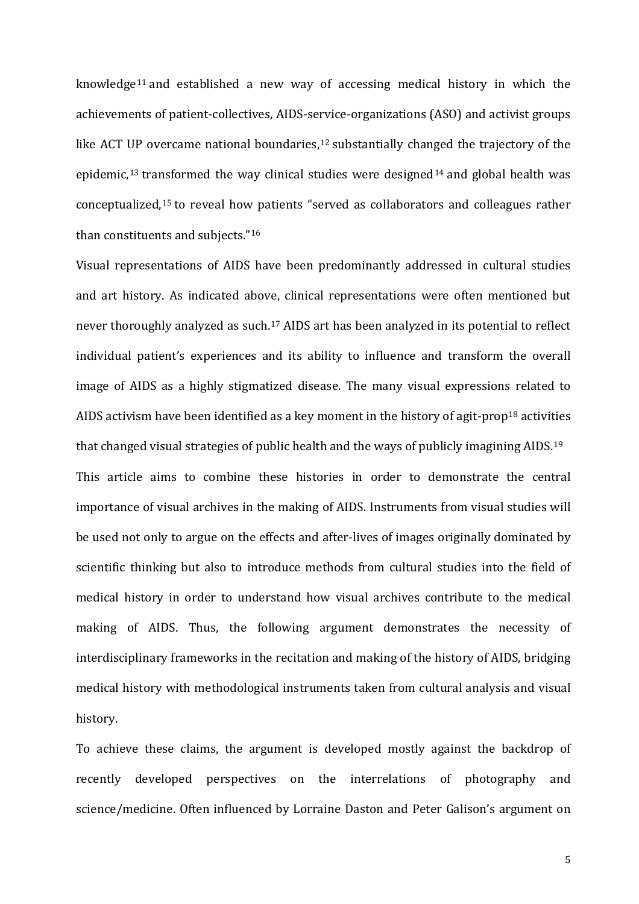knowledge[11](#page-16-0) and established a new way of accessing medical history in which the achievements of patient-collectives, AIDS-service-organizations (ASO) and activist groups like ACT UP overcame national boundaries,<sup>[12](#page-16-1)</sup> substantially changed the trajectory of the epidemic, [13](#page-16-2) transformed the way clinical studies were designed[14](#page-16-3) and global health was conceptualized, [15](#page-16-4) to reveal how patients "served as collaborators and colleagues rather than constituents and subjects."[16](#page-16-5)

Visual representations of AIDS have been predominantly addressed in cultural studies and art history. As indicated above, clinical representations were often mentioned but never thoroughly analyzed as such.<sup>[17](#page-16-6)</sup> AIDS art has been analyzed in its potential to reflect individual patient's experiences and its ability to influence and transform the overall image of AIDS as a highly stigmatized disease. The many visual expressions related to AIDS activism have been identified as a key moment in the history of agit-prop<sup>[18](#page-16-7)</sup> activities that changed visual strategies of public health and the ways of publicly imagining AIDS.[19](#page-16-8) This article aims to combine these histories in order to demonstrate the central importance of visual archives in the making of AIDS. Instruments from visual studies will be used not only to argue on the effects and after-lives of images originally dominated by scientific thinking but also to introduce methods from cultural studies into the field of medical history in order to understand how visual archives contribute to the medical making of AIDS. Thus, the following argument demonstrates the necessity of interdisciplinary frameworks in the recitation and making of the history of AIDS, bridging medical history with methodological instruments taken from cultural analysis and visual history.

To achieve these claims, the argument is developed mostly against the backdrop of recently developed perspectives on the interrelations of photography and science/medicine. Often influenced by Lorraine Daston and Peter Galison's argument on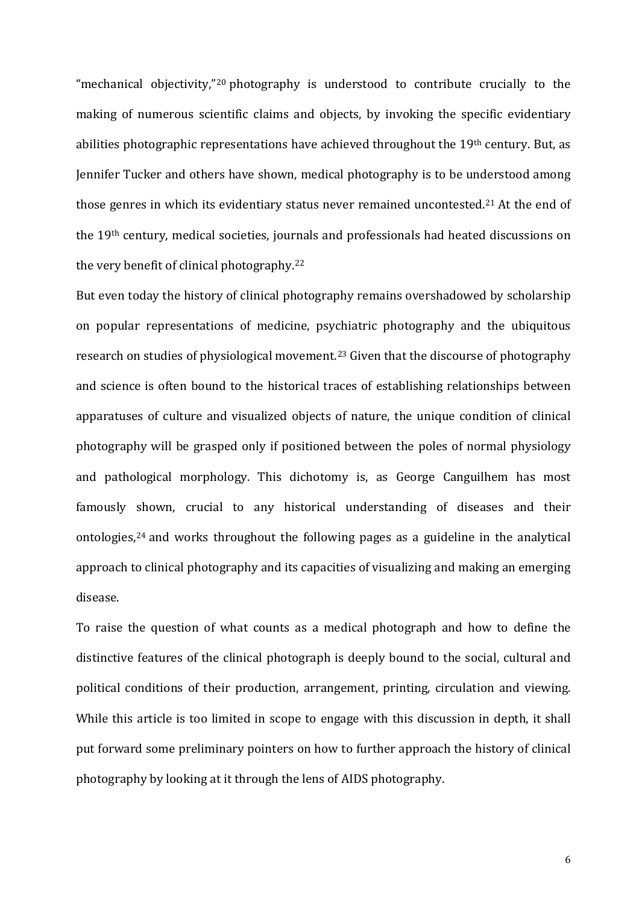"mechanical objectivity,"[20](#page-17-0) photography is understood to contribute crucially to the making of numerous scientific claims and objects, by invoking the specific evidentiary abilities photographic representations have achieved throughout the 19<sup>th</sup> century. But, as Jennifer Tucker and others have shown, medical photography is to be understood among those genres in which its evidentiary status never remained uncontested.<sup>[21](#page-17-1)</sup> At the end of the 19th century, medical societies, journals and professionals had heated discussions on the very benefit of clinical photography.[22](#page-17-2)

But even today the history of clinical photography remains overshadowed by scholarship on popular representations of medicine, psychiatric photography and the ubiquitous research on studies of physiological movement.<sup>[23](#page-17-3)</sup> Given that the discourse of photography and science is often bound to the historical traces of establishing relationships between apparatuses of culture and visualized objects of nature, the unique condition of clinical photography will be grasped only if positioned between the poles of normal physiology and pathological morphology. This dichotomy is, as George Canguilhem has most famously shown, crucial to any historical understanding of diseases and their ontologies,[24](#page-17-4) and works throughout the following pages as a guideline in the analytical approach to clinical photography and its capacities of visualizing and making an emerging disease.

To raise the question of what counts as a medical photograph and how to define the distinctive features of the clinical photograph is deeply bound to the social, cultural and political conditions of their production, arrangement, printing, circulation and viewing. While this article is too limited in scope to engage with this discussion in depth, it shall put forward some preliminary pointers on how to further approach the history of clinical photography by looking at it through the lens of AIDS photography.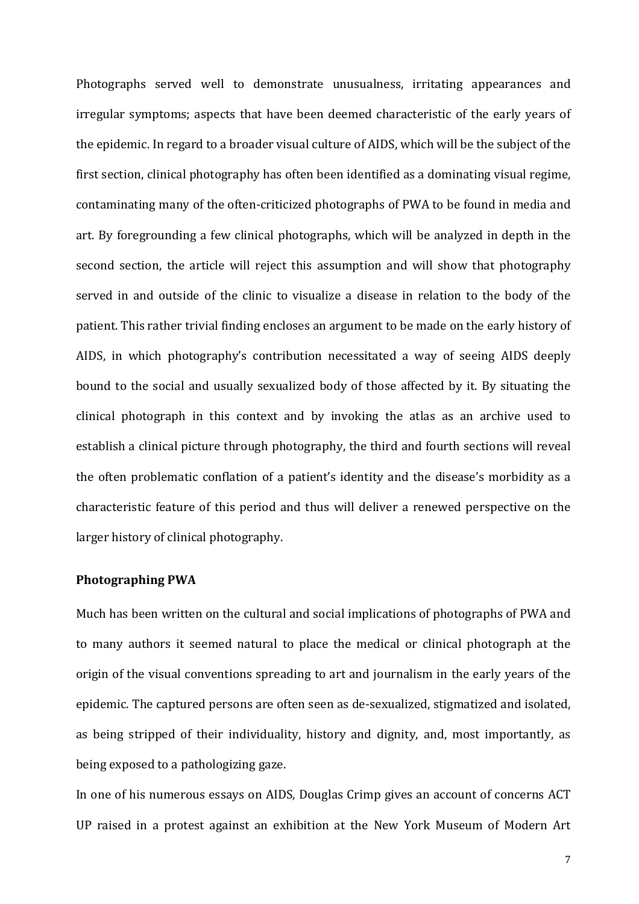Photographs served well to demonstrate unusualness, irritating appearances and irregular symptoms; aspects that have been deemed characteristic of the early years of the epidemic. In regard to a broader visual culture of AIDS, which will be the subject of the first section, clinical photography has often been identified as a dominating visual regime, contaminating many of the often-criticized photographs of PWA to be found in media and art. By foregrounding a few clinical photographs, which will be analyzed in depth in the second section, the article will reject this assumption and will show that photography served in and outside of the clinic to visualize a disease in relation to the body of the patient. This rather trivial finding encloses an argument to be made on the early history of AIDS, in which photography's contribution necessitated a way of seeing AIDS deeply bound to the social and usually sexualized body of those affected by it. By situating the clinical photograph in this context and by invoking the atlas as an archive used to establish a clinical picture through photography, the third and fourth sections will reveal the often problematic conflation of a patient's identity and the disease's morbidity as a characteristic feature of this period and thus will deliver a renewed perspective on the larger history of clinical photography.

#### **Photographing PWA**

Much has been written on the cultural and social implications of photographs of PWA and to many authors it seemed natural to place the medical or clinical photograph at the origin of the visual conventions spreading to art and journalism in the early years of the epidemic. The captured persons are often seen as de-sexualized, stigmatized and isolated, as being stripped of their individuality, history and dignity, and, most importantly, as being exposed to a pathologizing gaze.

In one of his numerous essays on AIDS, Douglas Crimp gives an account of concerns ACT UP raised in a protest against an exhibition at the New York Museum of Modern Art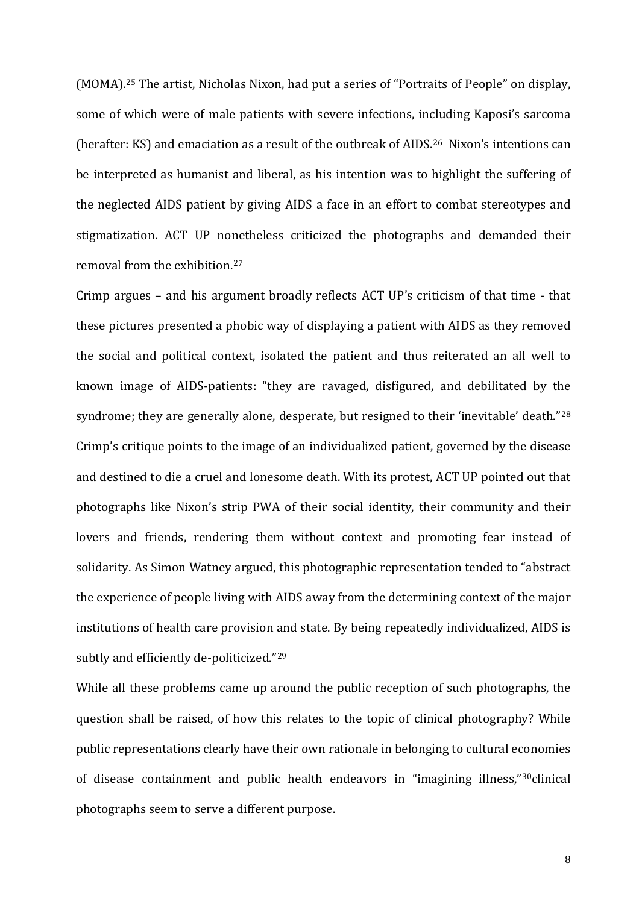(MOMA).[25](#page-18-0) The artist, Nicholas Nixon, had put a series of "Portraits of People" on display, some of which were of male patients with severe infections, including Kaposi's sarcoma (herafter: KS) and emaciation as a result of the outbreak of AIDS.[26](#page-18-1) Nixon's intentions can be interpreted as humanist and liberal, as his intention was to highlight the suffering of the neglected AIDS patient by giving AIDS a face in an effort to combat stereotypes and stigmatization. ACT UP nonetheless criticized the photographs and demanded their removal from the exhibition[.27](#page-18-2)

Crimp argues – and his argument broadly reflects ACT UP's criticism of that time - that these pictures presented a phobic way of displaying a patient with AIDS as they removed the social and political context, isolated the patient and thus reiterated an all well to known image of AIDS-patients: "they are ravaged, disfigured, and debilitated by the syndrome; they are generally alone, desperate, but resigned to their 'inevitable' death."<sup>28</sup> Crimp's critique points to the image of an individualized patient, governed by the disease and destined to die a cruel and lonesome death. With its protest, ACT UP pointed out that photographs like Nixon's strip PWA of their social identity, their community and their lovers and friends, rendering them without context and promoting fear instead of solidarity. As Simon Watney argued, this photographic representation tended to "abstract the experience of people living with AIDS away from the determining context of the major institutions of health care provision and state. By being repeatedly individualized, AIDS is subtly and efficiently de-politicized."<sup>[29](#page-18-4)</sup>

While all these problems came up around the public reception of such photographs, the question shall be raised, of how this relates to the topic of clinical photography? While public representations clearly have their own rationale in belonging to cultural economies of disease containment and public health endeavors in "imagining illness,["30](#page-18-5)clinical photographs seem to serve a different purpose.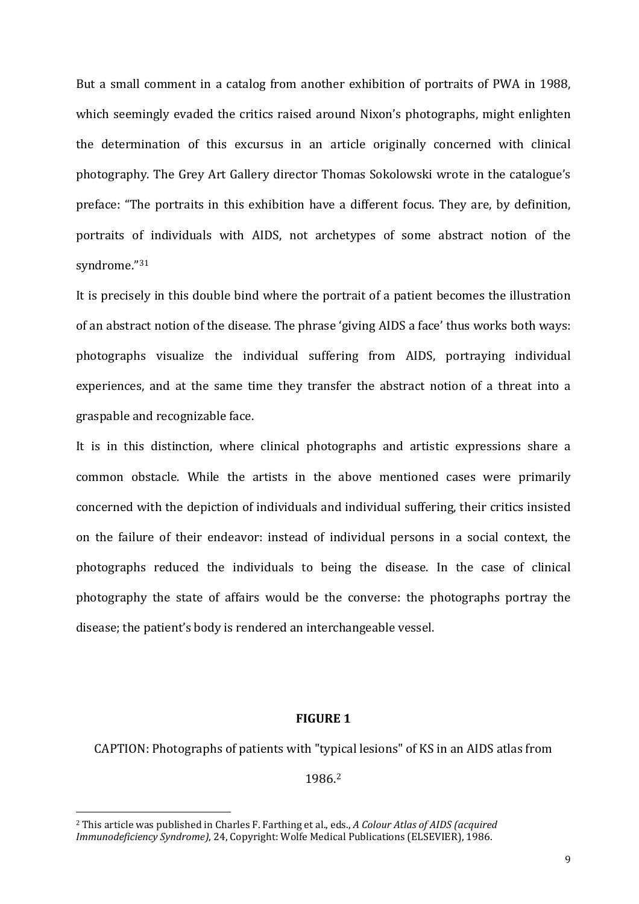But a small comment in a catalog from another exhibition of portraits of PWA in 1988, which seemingly evaded the critics raised around Nixon's photographs, might enlighten the determination of this excursus in an article originally concerned with clinical photography. The Grey Art Gallery director Thomas Sokolowski wrote in the catalogue's preface: "The portraits in this exhibition have a different focus. They are, by definition, portraits of individuals with AIDS, not archetypes of some abstract notion of the syndrome."[31](#page-19-0)

It is precisely in this double bind where the portrait of a patient becomes the illustration of an abstract notion of the disease. The phrase 'giving AIDS a face' thus works both ways: photographs visualize the individual suffering from AIDS, portraying individual experiences, and at the same time they transfer the abstract notion of a threat into a graspable and recognizable face.

It is in this distinction, where clinical photographs and artistic expressions share a common obstacle. While the artists in the above mentioned cases were primarily concerned with the depiction of individuals and individual suffering, their critics insisted on the failure of their endeavor: instead of individual persons in a social context, the photographs reduced the individuals to being the disease. In the case of clinical photography the state of affairs would be the converse: the photographs portray the disease; the patient's body is rendered an interchangeable vessel.

#### **FIGURE 1**

CAPTION: Photographs of patients with "typical lesions" of KS in an AIDS atlas from

1986. [2](#page-9-0)

<span id="page-9-0"></span><sup>2</sup> This article was published in Charles F. Farthing et al., eds., *A Colour Atlas of AIDS (acquired Immunodeficiency Syndrome)*, 24, Copyright: Wolfe Medical Publications (ELSEVIER), 1986. i<br>I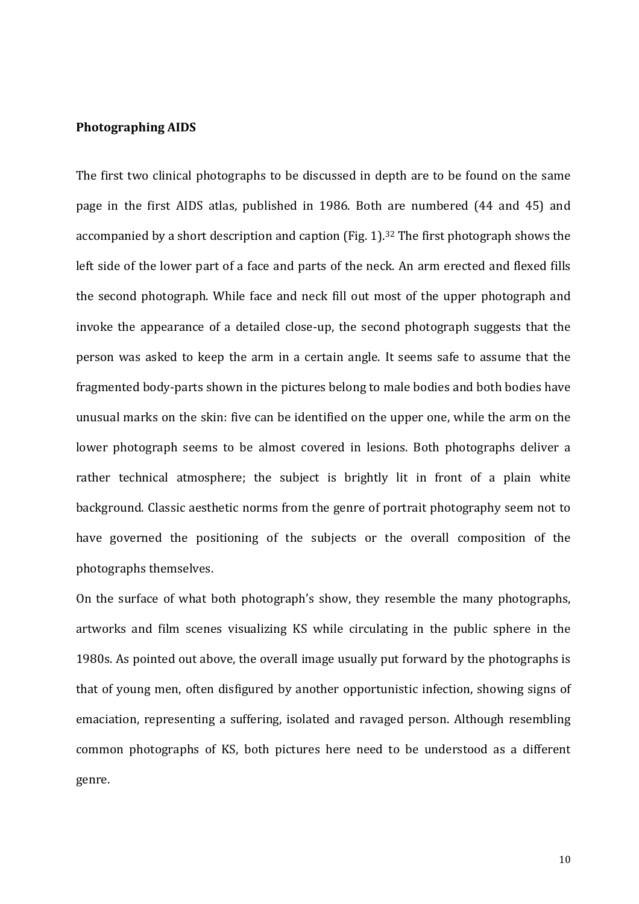#### **Photographing AIDS**

The first two clinical photographs to be discussed in depth are to be found on the same page in the first AIDS atlas, published in 1986. Both are numbered (44 and 45) and accompanied by a short description and caption (Fig. 1).<sup>[32](#page-20-0)</sup> The first photograph shows the left side of the lower part of a face and parts of the neck. An arm erected and flexed fills the second photograph. While face and neck fill out most of the upper photograph and invoke the appearance of a detailed close-up, the second photograph suggests that the person was asked to keep the arm in a certain angle. It seems safe to assume that the fragmented body-parts shown in the pictures belong to male bodies and both bodies have unusual marks on the skin: five can be identified on the upper one, while the arm on the lower photograph seems to be almost covered in lesions. Both photographs deliver a rather technical atmosphere; the subject is brightly lit in front of a plain white background. Classic aesthetic norms from the genre of portrait photography seem not to have governed the positioning of the subjects or the overall composition of the photographs themselves.

On the surface of what both photograph's show, they resemble the many photographs, artworks and film scenes visualizing KS while circulating in the public sphere in the 1980s. As pointed out above, the overall image usually put forward by the photographs is that of young men, often disfigured by another opportunistic infection, showing signs of emaciation, representing a suffering, isolated and ravaged person. Although resembling common photographs of KS, both pictures here need to be understood as a different genre.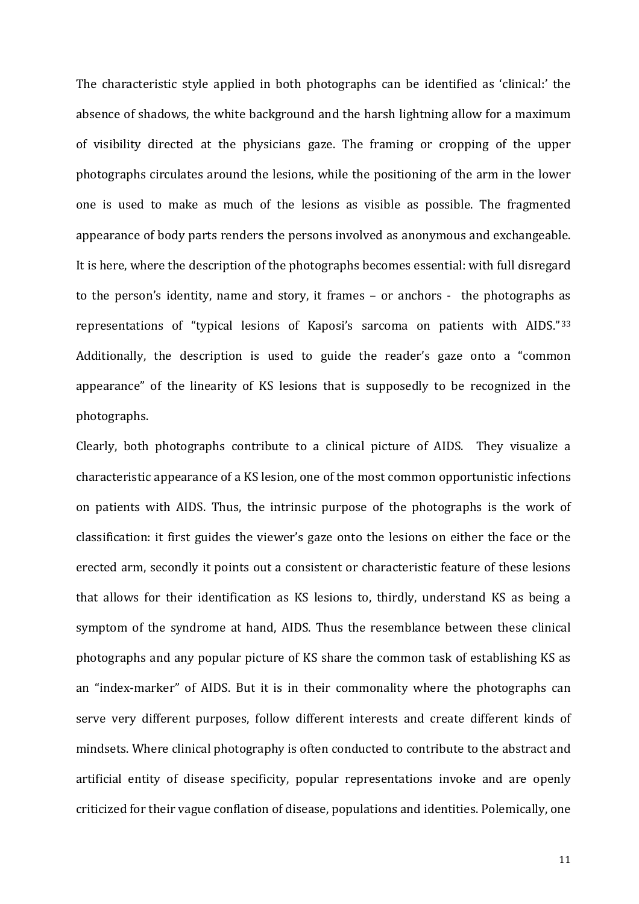The characteristic style applied in both photographs can be identified as 'clinical:' the absence of shadows, the white background and the harsh lightning allow for a maximum of visibility directed at the physicians gaze. The framing or cropping of the upper photographs circulates around the lesions, while the positioning of the arm in the lower one is used to make as much of the lesions as visible as possible. The fragmented appearance of body parts renders the persons involved as anonymous and exchangeable. It is here, where the description of the photographs becomes essential: with full disregard to the person's identity, name and story, it frames – or anchors - the photographs as representations of "typical lesions of Kaposi's sarcoma on patients with AIDS."[33](#page-20-1) Additionally, the description is used to guide the reader's gaze onto a "common appearance" of the linearity of KS lesions that is supposedly to be recognized in the photographs.

Clearly, both photographs contribute to a clinical picture of AIDS. They visualize a characteristic appearance of a KS lesion, one of the most common opportunistic infections on patients with AIDS. Thus, the intrinsic purpose of the photographs is the work of classification: it first guides the viewer's gaze onto the lesions on either the face or the erected arm, secondly it points out a consistent or characteristic feature of these lesions that allows for their identification as KS lesions to, thirdly, understand KS as being a symptom of the syndrome at hand, AIDS. Thus the resemblance between these clinical photographs and any popular picture of KS share the common task of establishing KS as an "index-marker" of AIDS. But it is in their commonality where the photographs can serve very different purposes, follow different interests and create different kinds of mindsets. Where clinical photography is often conducted to contribute to the abstract and artificial entity of disease specificity, popular representations invoke and are openly criticized for their vague conflation of disease, populations and identities. Polemically, one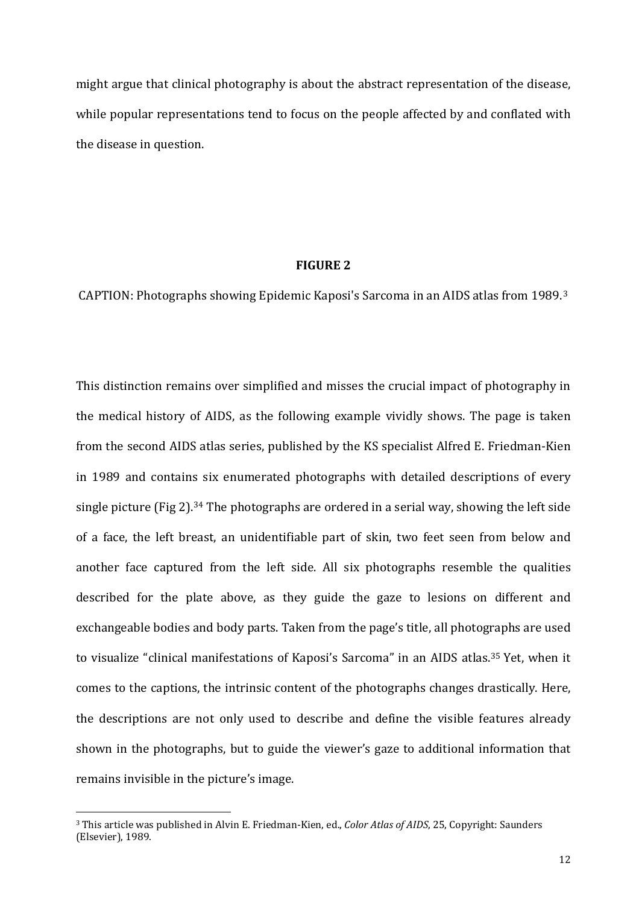might argue that clinical photography is about the abstract representation of the disease, while popular representations tend to focus on the people affected by and conflated with the disease in question.

#### **FIGURE 2**

CAPTION: Photographs showing Epidemic Kaposi's Sarcoma in an AIDS atlas from 1989.[3](#page-12-0) 

This distinction remains over simplified and misses the crucial impact of photography in the medical history of AIDS, as the following example vividly shows. The page is taken from the second AIDS atlas series, published by the KS specialist Alfred E. Friedman-Kien in 1989 and contains six enumerated photographs with detailed descriptions of every single picture (Fig 2).[34](#page-20-2) The photographs are ordered in a serial way, showing the left side of a face, the left breast, an unidentifiable part of skin, two feet seen from below and another face captured from the left side. All six photographs resemble the qualities described for the plate above, as they guide the gaze to lesions on different and exchangeable bodies and body parts. Taken from the page's title, all photographs are used to visualize "clinical manifestations of Kaposi's Sarcoma" in an AIDS atlas.[35](#page-20-3) Yet, when it comes to the captions, the intrinsic content of the photographs changes drastically. Here, the descriptions are not only used to describe and define the visible features already shown in the photographs, but to guide the viewer's gaze to additional information that remains invisible in the picture's image.

<span id="page-12-0"></span><sup>3</sup> This article was published in Alvin E. Friedman-Kien, ed., *Color Atlas of AIDS*, 25, Copyright: Saunders (Elsevier), 1989. i<br>I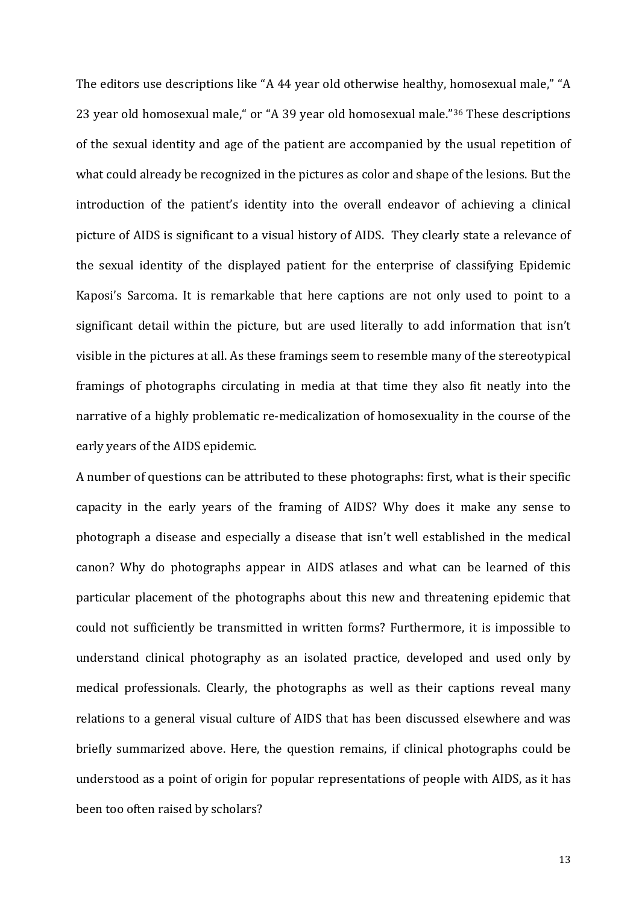The editors use descriptions like "A 44 year old otherwise healthy, homosexual male," "A 23 year old homosexual male," or "A 39 year old homosexual male."[36](#page-21-0) These descriptions of the sexual identity and age of the patient are accompanied by the usual repetition of what could already be recognized in the pictures as color and shape of the lesions. But the introduction of the patient's identity into the overall endeavor of achieving a clinical picture of AIDS is significant to a visual history of AIDS. They clearly state a relevance of the sexual identity of the displayed patient for the enterprise of classifying Epidemic Kaposi's Sarcoma. It is remarkable that here captions are not only used to point to a significant detail within the picture, but are used literally to add information that isn't visible in the pictures at all. As these framings seem to resemble many of the stereotypical framings of photographs circulating in media at that time they also fit neatly into the narrative of a highly problematic re-medicalization of homosexuality in the course of the early years of the AIDS epidemic.

<span id="page-13-3"></span><span id="page-13-2"></span><span id="page-13-1"></span><span id="page-13-0"></span>A number of questions can be attributed to these photographs: first, what is their specific capacity in the early years of the framing of AIDS? Why does it make any sense to photograph a disease and especially a disease that isn't well established in the medical canon? Why do photographs appear in AIDS atlases and what can be learned of this particular placement of the photographs about this new and threatening epidemic that could not sufficiently be transmitted in written forms? Furthermore, it is impossible to understand clinical photography as an isolated practice, developed and used only by medical professionals. Clearly, the photographs as well as their captions reveal many relations to a general visual culture of AIDS that has been discussed elsewhere and was briefly summarized above. Here, the question remains, if clinical photographs could be understood as a point of origin for popular representations of people with AIDS, as it has been too often raised by scholars?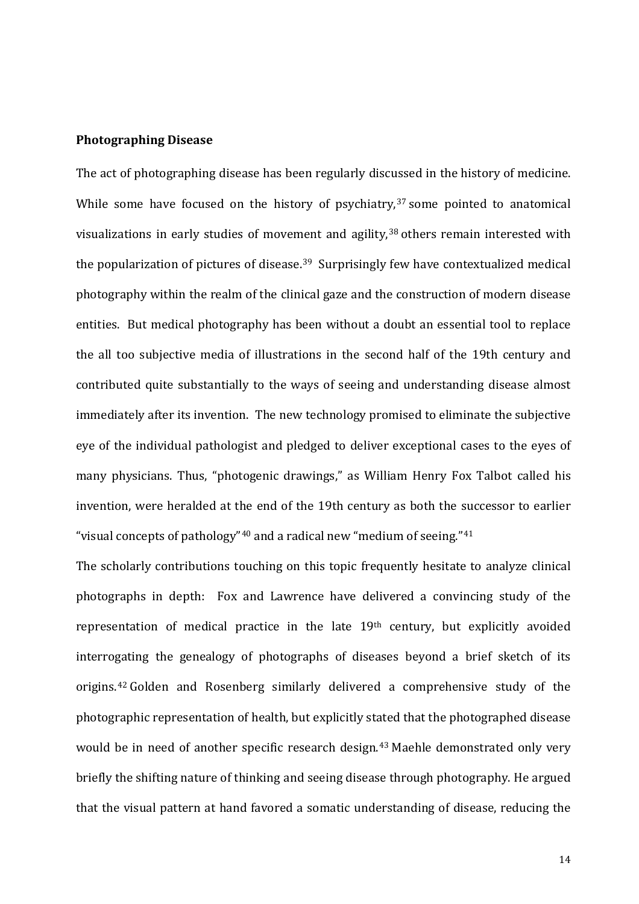#### <span id="page-14-1"></span>**Photographing Disease**

<span id="page-14-2"></span>The act of photographing disease has been regularly discussed in the history of medicine. While some have focused on the history of psychiatry,<sup>[37](#page-21-1)</sup> some pointed to anatomical visualizations in early studies of movement and agility,<sup>[38](#page-21-2)</sup> others remain interested with the popularization of pictures of disease.<sup>[39](#page-21-3)</sup> Surprisingly few have contextualized medical photography within the realm of the clinical gaze and the construction of modern disease entities. But medical photography has been without a doubt an essential tool to replace the all too subjective media of illustrations in the second half of the 19th century and contributed quite substantially to the ways of seeing and understanding disease almost immediately after its invention. The new technology promised to eliminate the subjective eye of the individual pathologist and pledged to deliver exceptional cases to the eyes of many physicians. Thus, "photogenic drawings," as William Henry Fox Talbot called his invention, were heralded at the end of the 19th century as both the successor to earlier "visual concepts of pathology"<sup>[40](#page-21-4)</sup> and a radical new "medium of seeing."<sup>[41](#page-21-5)</sup>

<span id="page-14-3"></span><span id="page-14-0"></span>The scholarly contributions touching on this topic frequently hesitate to analyze clinical photographs in depth: Fox and Lawrence have delivered a convincing study of the representation of medical practice in the late 19th century, but explicitly avoided interrogating the genealogy of photographs of diseases beyond a brief sketch of its origins.[42](#page-21-6) Golden and Rosenberg similarly delivered a comprehensive study of the photographic representation of health, but explicitly stated that the photographed disease would be in need of another specific research design.<sup>[43](#page-21-7)</sup> Maehle demonstrated only very briefly the shifting nature of thinking and seeing disease through photography. He argued that the visual pattern at hand favored a somatic understanding of disease, reducing the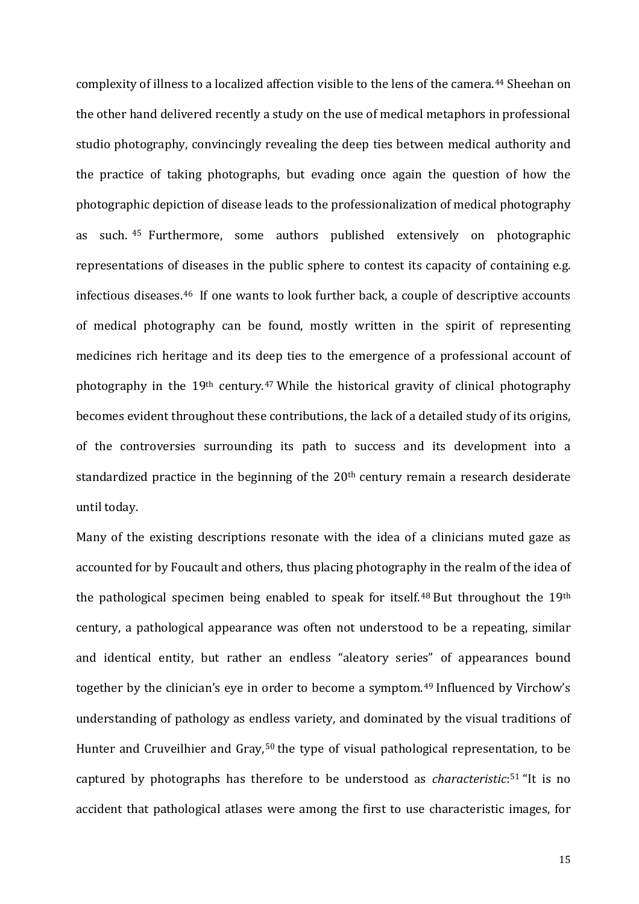complexity of illness to a localized affection visible to the lens of the camera.<sup>[44](#page-22-0)</sup> Sheehan on the other hand delivered recently a study on the use of medical metaphors in professional studio photography, convincingly revealing the deep ties between medical authority and the practice of taking photographs, but evading once again the question of how the photographic depiction of disease leads to the professionalization of medical photography as such. [45](#page-22-1) Furthermore, some authors published extensively on photographic representations of diseases in the public sphere to contest its capacity of containing e.g. infectious diseases.[46](#page-22-2) If one wants to look further back, a couple of descriptive accounts of medical photography can be found, mostly written in the spirit of representing medicines rich heritage and its deep ties to the emergence of a professional account of photography in the 19th century.[47](#page-22-3) While the historical gravity of clinical photography becomes evident throughout these contributions, the lack of a detailed study of its origins, of the controversies surrounding its path to success and its development into a standardized practice in the beginning of the 20<sup>th</sup> century remain a research desiderate until today.

<span id="page-15-1"></span><span id="page-15-0"></span>Many of the existing descriptions resonate with the idea of a clinicians muted gaze as accounted for by Foucault and others, thus placing photography in the realm of the idea of the pathological specimen being enabled to speak for itself.<sup>[48](#page-22-4)</sup> But throughout the 19<sup>th</sup> century, a pathological appearance was often not understood to be a repeating, similar and identical entity, but rather an endless "aleatory series" of appearances bound together by the clinician's eye in order to become a symptom.<sup>[49](#page-22-5)</sup> Influenced by Virchow's understanding of pathology as endless variety, and dominated by the visual traditions of Hunter and Cruveilhier and Gray,<sup>[50](#page-22-6)</sup> the type of visual pathological representation, to be captured by photographs has therefore to be understood as *characteristic*:[51](#page-22-7) "It is no accident that pathological atlases were among the first to use characteristic images, for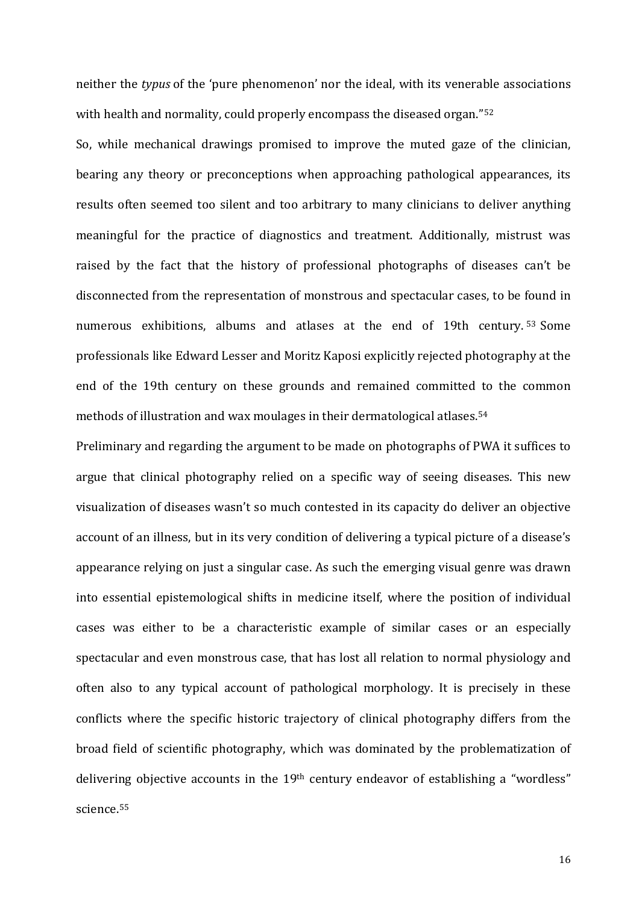<span id="page-16-0"></span>neither the *typus* of the 'pure phenomenon' nor the ideal, with its venerable associations with health and normality, could properly encompass the diseased organ."<sup>[52](#page-23-0)</sup>

<span id="page-16-3"></span><span id="page-16-2"></span><span id="page-16-1"></span>So, while mechanical drawings promised to improve the muted gaze of the clinician, bearing any theory or preconceptions when approaching pathological appearances, its results often seemed too silent and too arbitrary to many clinicians to deliver anything meaningful for the practice of diagnostics and treatment. Additionally, mistrust was raised by the fact that the history of professional photographs of diseases can't be disconnected from the representation of monstrous and spectacular cases, to be found in numerous exhibitions, albums and atlases at the end of 19th century.<sup>[53](#page-23-1)</sup> Some professionals like Edward Lesser and Moritz Kaposi explicitly rejected photography at the end of the 19th century on these grounds and remained committed to the common methods of illustration and wax moulages in their dermatological atlases.[54](#page-23-2)

<span id="page-16-8"></span><span id="page-16-7"></span><span id="page-16-6"></span><span id="page-16-5"></span><span id="page-16-4"></span>Preliminary and regarding the argument to be made on photographs of PWA it suffices to argue that clinical photography relied on a specific way of seeing diseases. This new visualization of diseases wasn't so much contested in its capacity do deliver an objective account of an illness, but in its very condition of delivering a typical picture of a disease's appearance relying on just a singular case. As such the emerging visual genre was drawn into essential epistemological shifts in medicine itself, where the position of individual cases was either to be a characteristic example of similar cases or an especially spectacular and even monstrous case, that has lost all relation to normal physiology and often also to any typical account of pathological morphology. It is precisely in these conflicts where the specific historic trajectory of clinical photography differs from the broad field of scientific photography, which was dominated by the problematization of delivering objective accounts in the 19<sup>th</sup> century endeavor of establishing a "wordless" science.[55](#page-23-3)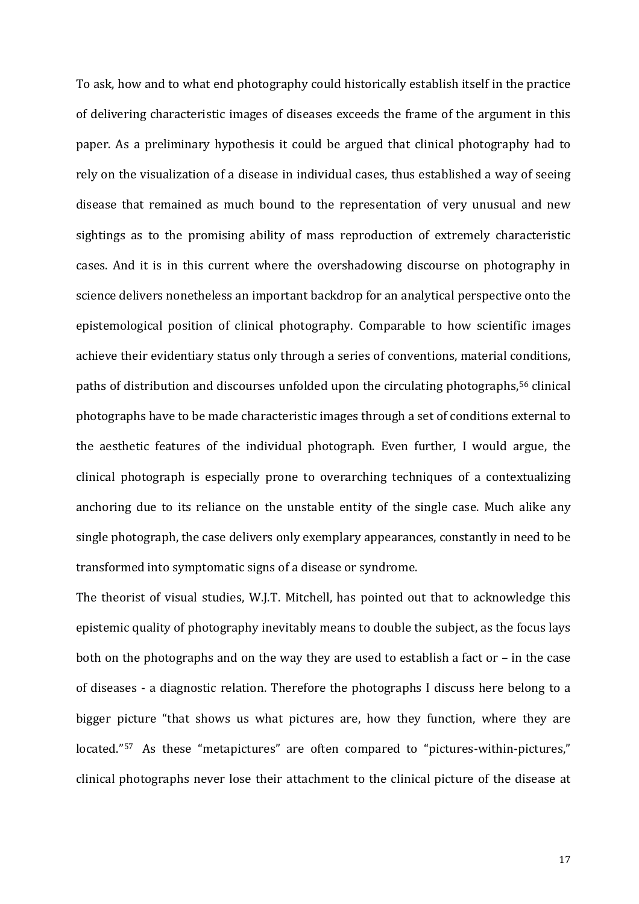<span id="page-17-4"></span><span id="page-17-3"></span><span id="page-17-2"></span>To ask, how and to what end photography could historically establish itself in the practice of delivering characteristic images of diseases exceeds the frame of the argument in this paper. As a preliminary hypothesis it could be argued that clinical photography had to rely on the visualization of a disease in individual cases, thus established a way of seeing disease that remained as much bound to the representation of very unusual and new sightings as to the promising ability of mass reproduction of extremely characteristic cases. And it is in this current where the overshadowing discourse on photography in science delivers nonetheless an important backdrop for an analytical perspective onto the epistemological position of clinical photography. Comparable to how scientific images achieve their evidentiary status only through a series of conventions, material conditions, paths of distribution and discourses unfolded upon the circulating photographs,<sup>[56](#page-24-0)</sup> clinical photographs have to be made characteristic images through a set of conditions external to the aesthetic features of the individual photograph. Even further, I would argue, the clinical photograph is especially prone to overarching techniques of a contextualizing anchoring due to its reliance on the unstable entity of the single case. Much alike any single photograph, the case delivers only exemplary appearances, constantly in need to be transformed into symptomatic signs of a disease or syndrome.

<span id="page-17-1"></span><span id="page-17-0"></span>The theorist of visual studies, W.J.T. Mitchell, has pointed out that to acknowledge this epistemic quality of photography inevitably means to double the subject, as the focus lays both on the photographs and on the way they are used to establish a fact or – in the case of diseases - a diagnostic relation. Therefore the photographs I discuss here belong to a bigger picture "that shows us what pictures are, how they function, where they are located."<sup>57</sup> As these "metapictures" are often compared to "pictures-within-pictures," clinical photographs never lose their attachment to the clinical picture of the disease at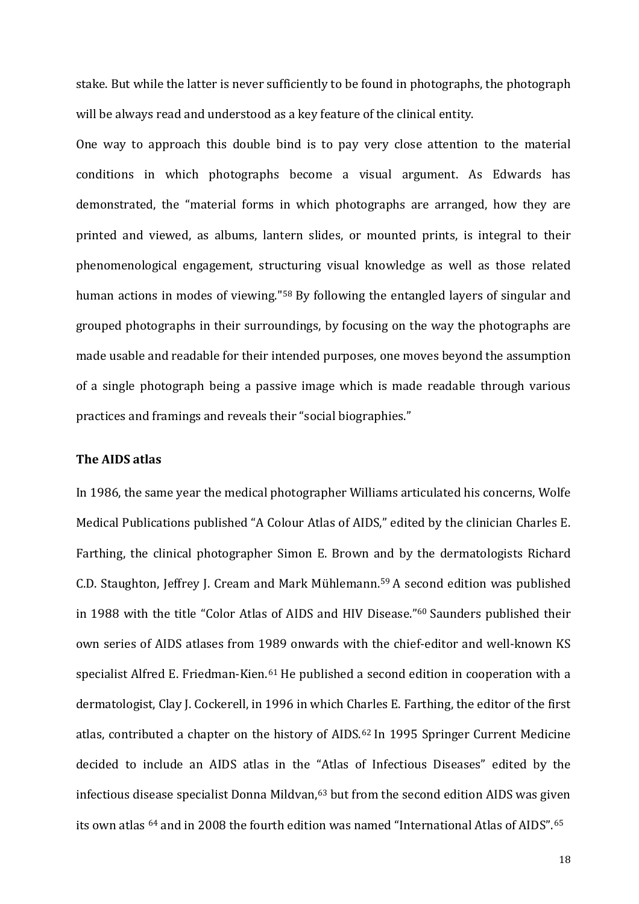stake. But while the latter is never sufficiently to be found in photographs, the photograph will be always read and understood as a key feature of the clinical entity.

One way to approach this double bind is to pay very close attention to the material conditions in which photographs become a visual argument. As Edwards has demonstrated, the "material forms in which photographs are arranged, how they are printed and viewed, as albums, lantern slides, or mounted prints, is integral to their phenomenological engagement, structuring visual knowledge as well as those related human actions in modes of viewing."<sup>[58](#page-25-0)</sup> By following the entangled layers of singular and grouped photographs in their surroundings, by focusing on the way the photographs are made usable and readable for their intended purposes, one moves beyond the assumption of a single photograph being a passive image which is made readable through various practices and framings and reveals their "social biographies."

#### <span id="page-18-1"></span><span id="page-18-0"></span>**The AIDS atlas**

<span id="page-18-5"></span><span id="page-18-4"></span><span id="page-18-3"></span><span id="page-18-2"></span>In 1986, the same year the medical photographer Williams articulated his concerns, Wolfe Medical Publications published "A Colour Atlas of AIDS," edited by the clinician Charles E. Farthing, the clinical photographer Simon E. Brown and by the dermatologists Richard C.D. Staughton, Jeffrey J. Cream and Mark Mühlemann[.59](#page-25-1) A second edition was published in 1988 with the title "Color Atlas of AIDS and HIV Disease."[60](#page-25-2) Saunders published their own series of AIDS atlases from 1989 onwards with the chief-editor and well-known KS specialist Alfred E. Friedman-Kien.<sup>[61](#page-25-3)</sup> He published a second edition in cooperation with a dermatologist, Clay J. Cockerell, in 1996 in which Charles E. Farthing, the editor of the first atlas, contributed a chapter on the history of AIDS.[62](#page-25-4) In 1995 Springer Current Medicine decided to include an AIDS atlas in the "Atlas of Infectious Diseases" edited by the infectious disease specialist Donna Mildvan,<sup>[63](#page-25-5)</sup> but from the second edition AIDS was given its own atlas <sup>[64](#page-25-6)</sup> and in 2008 the fourth edition was named "International Atlas of AIDS".<sup>[65](#page-25-7)</sup>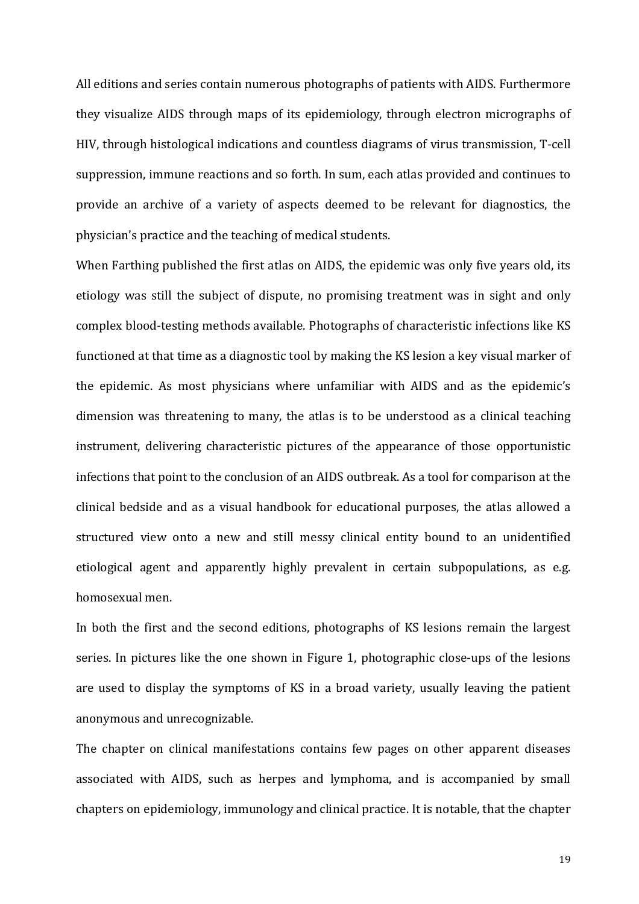All editions and series contain numerous photographs of patients with AIDS. Furthermore they visualize AIDS through maps of its epidemiology, through electron micrographs of HIV, through histological indications and countless diagrams of virus transmission, T-cell suppression, immune reactions and so forth. In sum, each atlas provided and continues to provide an archive of a variety of aspects deemed to be relevant for diagnostics, the physician's practice and the teaching of medical students.

When Farthing published the first atlas on AIDS, the epidemic was only five years old, its etiology was still the subject of dispute, no promising treatment was in sight and only complex blood-testing methods available. Photographs of characteristic infections like KS functioned at that time as a diagnostic tool by making the KS lesion a key visual marker of the epidemic. As most physicians where unfamiliar with AIDS and as the epidemic's dimension was threatening to many, the atlas is to be understood as a clinical teaching instrument, delivering characteristic pictures of the appearance of those opportunistic infections that point to the conclusion of an AIDS outbreak. As a tool for comparison at the clinical bedside and as a visual handbook for educational purposes, the atlas allowed a structured view onto a new and still messy clinical entity bound to an unidentified etiological agent and apparently highly prevalent in certain subpopulations, as e.g. homosexual men.

<span id="page-19-0"></span>In both the first and the second editions, photographs of KS lesions remain the largest series. In pictures like the one shown in Figure 1, photographic close-ups of the lesions are used to display the symptoms of KS in a broad variety, usually leaving the patient anonymous and unrecognizable.

The chapter on clinical manifestations contains few pages on other apparent diseases associated with AIDS, such as herpes and lymphoma, and is accompanied by small chapters on epidemiology, immunology and clinical practice. It is notable, that the chapter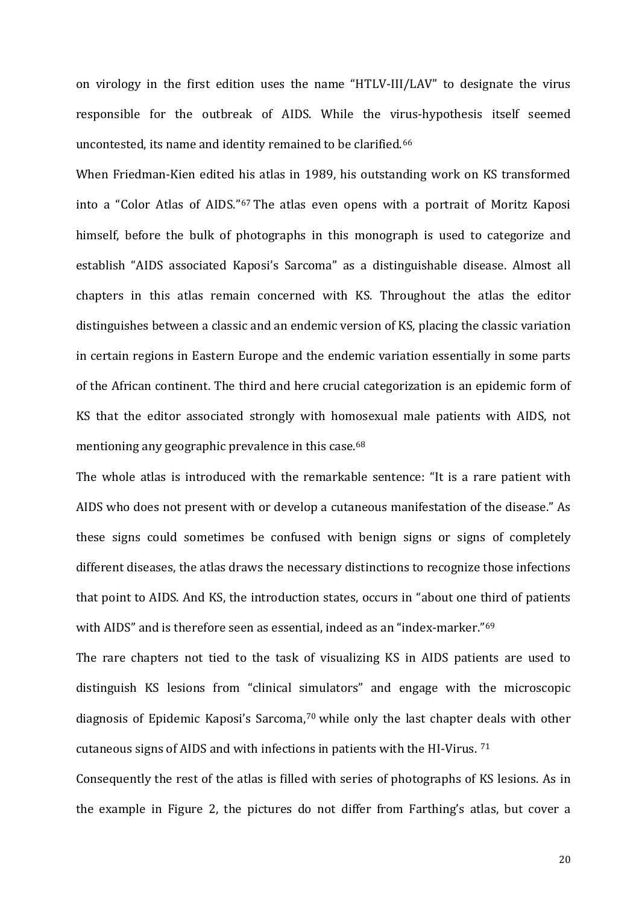on virology in the first edition uses the name "HTLV-III/LAV" to designate the virus responsible for the outbreak of AIDS. While the virus-hypothesis itself seemed uncontested, its name and identity remained to be clarified.[66](#page-26-0)

When Friedman-Kien edited his atlas in 1989, his outstanding work on KS transformed into a "Color Atlas of AIDS."[67](#page-26-1) The atlas even opens with a portrait of Moritz Kaposi himself, before the bulk of photographs in this monograph is used to categorize and establish "AIDS associated Kaposi's Sarcoma" as a distinguishable disease. Almost all chapters in this atlas remain concerned with KS. Throughout the atlas the editor distinguishes between a classic and an endemic version of KS, placing the classic variation in certain regions in Eastern Europe and the endemic variation essentially in some parts of the African continent. The third and here crucial categorization is an epidemic form of KS that the editor associated strongly with homosexual male patients with AIDS, not mentioning any geographic prevalence in this case.<sup>[68](#page-26-2)</sup>

The whole atlas is introduced with the remarkable sentence: "It is a rare patient with AIDS who does not present with or develop a cutaneous manifestation of the disease." As these signs could sometimes be confused with benign signs or signs of completely different diseases, the atlas draws the necessary distinctions to recognize those infections that point to AIDS. And KS, the introduction states, occurs in "about one third of patients with AIDS" and is therefore seen as essential, indeed as an "index-marker."<sup>[69](#page-26-3)</sup>

<span id="page-20-0"></span>The rare chapters not tied to the task of visualizing KS in AIDS patients are used to distinguish KS lesions from "clinical simulators" and engage with the microscopic diagnosis of Epidemic Kaposi's Sarcoma,<sup>[70](#page-26-4)</sup> while only the last chapter deals with other cutaneous signs of AIDS and with infections in patients with the HI-Virus. [71](#page-26-5)

<span id="page-20-3"></span><span id="page-20-2"></span><span id="page-20-1"></span>Consequently the rest of the atlas is filled with series of photographs of KS lesions. As in the example in Figure 2, the pictures do not differ from Farthing's atlas, but cover a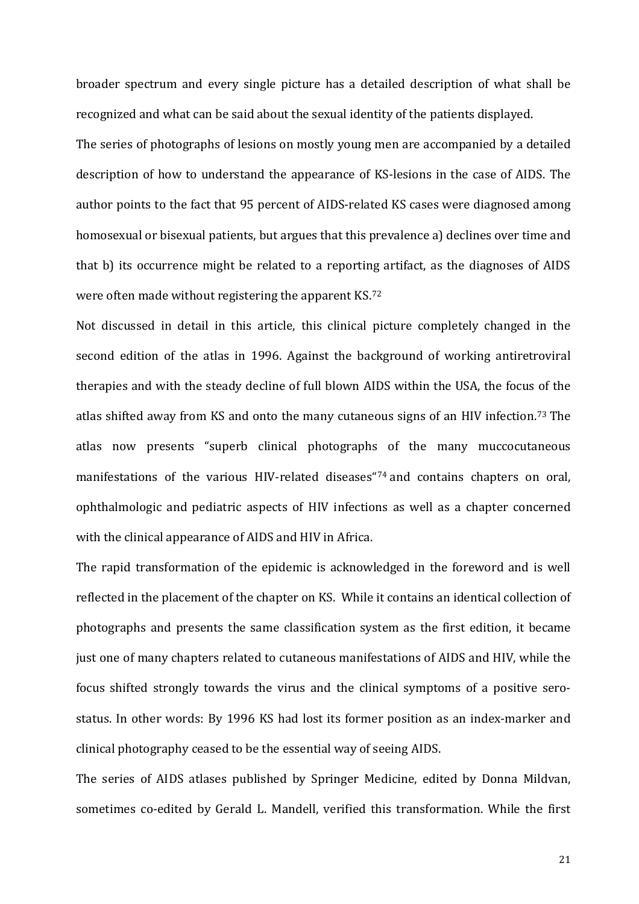<span id="page-21-0"></span>broader spectrum and every single picture has a detailed description of what shall be recognized and what can be said about the sexual identity of the patients displayed.

<span id="page-21-2"></span><span id="page-21-1"></span>The series of photographs of lesions on mostly young men are accompanied by a detailed description of how to understand the appearance of KS-lesions in the case of AIDS. The author points to the fact that 95 percent of AIDS-related KS cases were diagnosed among homosexual or bisexual patients, but argues that this prevalence a) declines over time and that b) its occurrence might be related to a reporting artifact, as the diagnoses of AIDS were often made without registering the apparent KS[.72](#page-27-0)

<span id="page-21-5"></span><span id="page-21-4"></span><span id="page-21-3"></span>Not discussed in detail in this article, this clinical picture completely changed in the second edition of the atlas in 1996. Against the background of working antiretroviral therapies and with the steady decline of full blown AIDS within the USA, the focus of the atlas shifted away from KS and onto the many cutaneous signs of an HIV infection.[73](#page-27-1) The atlas now presents "superb clinical photographs of the many muccocutaneous manifestations of the various HIV-related diseases["74](#page-27-2) and contains chapters on oral, ophthalmologic and pediatric aspects of HIV infections as well as a chapter concerned with the clinical appearance of AIDS and HIV in Africa.

<span id="page-21-7"></span><span id="page-21-6"></span>The rapid transformation of the epidemic is acknowledged in the foreword and is well reflected in the placement of the chapter on KS. While it contains an identical collection of photographs and presents the same classification system as the first edition, it became just one of many chapters related to cutaneous manifestations of AIDS and HIV, while the focus shifted strongly towards the virus and the clinical symptoms of a positive serostatus. In other words: By 1996 KS had lost its former position as an index-marker and clinical photography ceased to be the essential way of seeing AIDS.

The series of AIDS atlases published by Springer Medicine, edited by Donna Mildvan, sometimes co-edited by Gerald L. Mandell, verified this transformation. While the first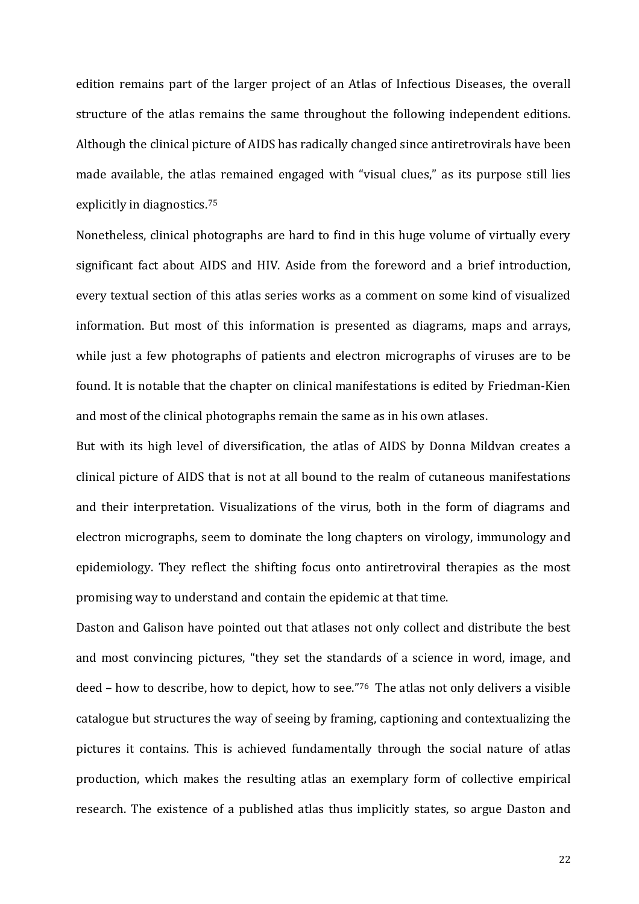edition remains part of the larger project of an Atlas of Infectious Diseases, the overall structure of the atlas remains the same throughout the following independent editions. Although the clinical picture of AIDS has radically changed since antiretrovirals have been made available, the atlas remained engaged with "visual clues," as its purpose still lies explicitly in diagnostics.[75](#page-28-0)

<span id="page-22-4"></span>Nonetheless, clinical photographs are hard to find in this huge volume of virtually every significant fact about AIDS and HIV. Aside from the foreword and a brief introduction, every textual section of this atlas series works as a comment on some kind of visualized information. But most of this information is presented as diagrams, maps and arrays, while just a few photographs of patients and electron micrographs of viruses are to be found. It is notable that the chapter on clinical manifestations is edited by Friedman-Kien and most of the clinical photographs remain the same as in his own atlases.

<span id="page-22-7"></span><span id="page-22-6"></span><span id="page-22-5"></span><span id="page-22-0"></span>But with its high level of diversification, the atlas of AIDS by Donna Mildvan creates a clinical picture of AIDS that is not at all bound to the realm of cutaneous manifestations and their interpretation. Visualizations of the virus, both in the form of diagrams and electron micrographs, seem to dominate the long chapters on virology, immunology and epidemiology. They reflect the shifting focus onto antiretroviral therapies as the most promising way to understand and contain the epidemic at that time.

<span id="page-22-3"></span><span id="page-22-2"></span><span id="page-22-1"></span>Daston and Galison have pointed out that atlases not only collect and distribute the best and most convincing pictures, "they set the standards of a science in word, image, and deed – how to describe, how to depict, how to see."[76](#page-28-1) The atlas not only delivers a visible catalogue but structures the way of seeing by framing, captioning and contextualizing the pictures it contains. This is achieved fundamentally through the social nature of atlas production, which makes the resulting atlas an exemplary form of collective empirical research. The existence of a published atlas thus implicitly states, so argue Daston and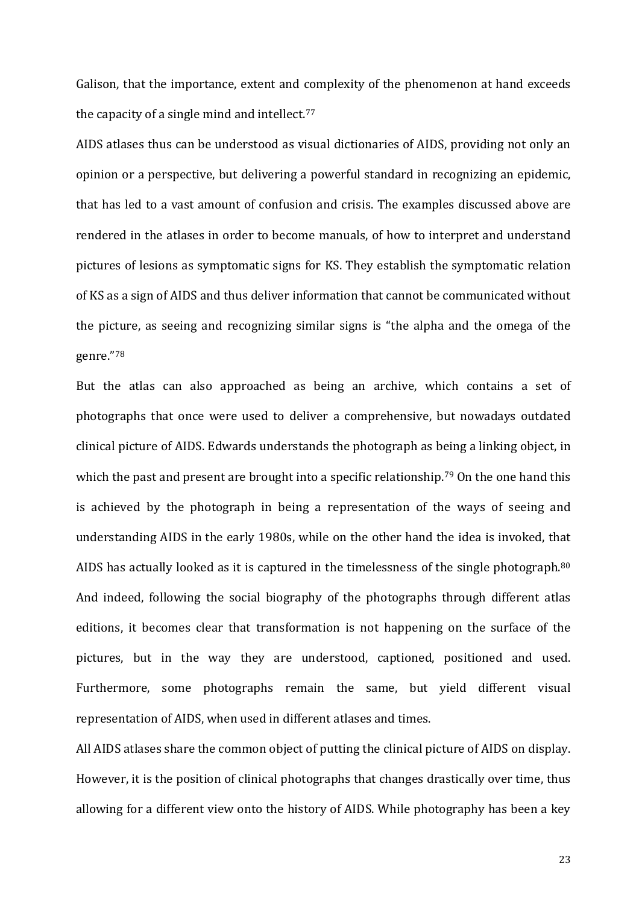Galison, that the importance, extent and complexity of the phenomenon at hand exceeds the capacity of a single mind and intellect.[77](#page-29-0)

AIDS atlases thus can be understood as visual dictionaries of AIDS, providing not only an opinion or a perspective, but delivering a powerful standard in recognizing an epidemic, that has led to a vast amount of confusion and crisis. The examples discussed above are rendered in the atlases in order to become manuals, of how to interpret and understand pictures of lesions as symptomatic signs for KS. They establish the symptomatic relation of KS as a sign of AIDS and thus deliver information that cannot be communicated without the picture, as seeing and recognizing similar signs is "the alpha and the omega of the genre."[78](#page-29-1)

<span id="page-23-0"></span>But the atlas can also approached as being an archive, which contains a set of photographs that once were used to deliver a comprehensive, but nowadays outdated clinical picture of AIDS. Edwards understands the photograph as being a linking object, in which the past and present are brought into a specific relationship.<sup>[79](#page-29-2)</sup> On the one hand this is achieved by the photograph in being a representation of the ways of seeing and understanding AIDS in the early 1980s, while on the other hand the idea is invoked, that AIDS has actually looked as it is captured in the timelessness of the single photograph.<sup>[80](#page-29-3)</sup> And indeed, following the social biography of the photographs through different atlas editions, it becomes clear that transformation is not happening on the surface of the pictures, but in the way they are understood, captioned, positioned and used. Furthermore, some photographs remain the same, but yield different visual representation of AIDS, when used in different atlases and times.

<span id="page-23-3"></span><span id="page-23-2"></span><span id="page-23-1"></span>All AIDS atlases share the common object of putting the clinical picture of AIDS on display. However, it is the position of clinical photographs that changes drastically over time, thus allowing for a different view onto the history of AIDS. While photography has been a key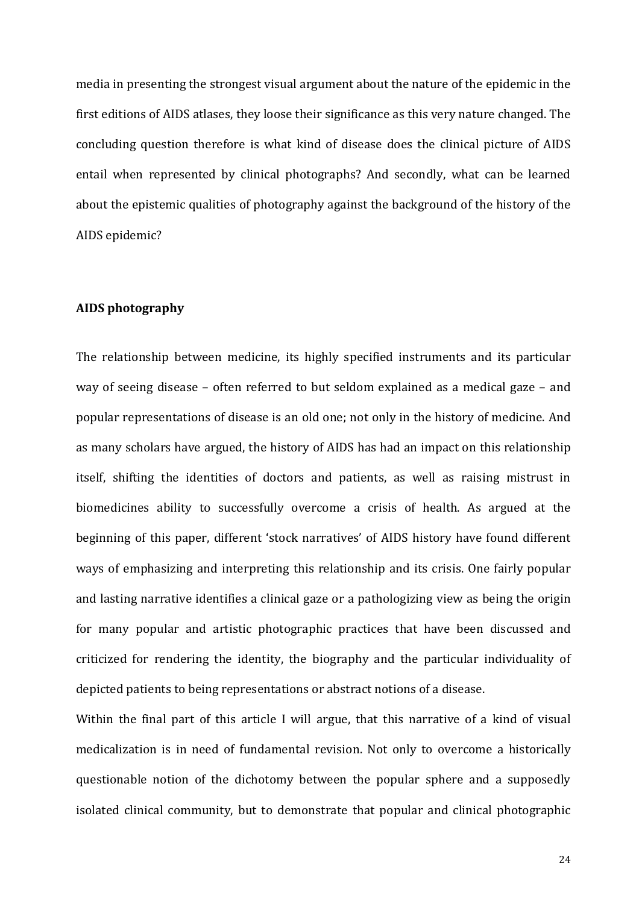<span id="page-24-1"></span>media in presenting the strongest visual argument about the nature of the epidemic in the first editions of AIDS atlases, they loose their significance as this very nature changed. The concluding question therefore is what kind of disease does the clinical picture of AIDS entail when represented by clinical photographs? And secondly, what can be learned about the epistemic qualities of photography against the background of the history of the AIDS epidemic?

#### **AIDS photography**

The relationship between medicine, its highly specified instruments and its particular way of seeing disease – often referred to but seldom explained as a medical gaze – and popular representations of disease is an old one; not only in the history of medicine. And as many scholars have argued, the history of AIDS has had an impact on this relationship itself, shifting the identities of doctors and patients, as well as raising mistrust in biomedicines ability to successfully overcome a crisis of health. As argued at the beginning of this paper, different 'stock narratives' of AIDS history have found different ways of emphasizing and interpreting this relationship and its crisis. One fairly popular and lasting narrative identifies a clinical gaze or a pathologizing view as being the origin for many popular and artistic photographic practices that have been discussed and criticized for rendering the identity, the biography and the particular individuality of depicted patients to being representations or abstract notions of a disease.

<span id="page-24-0"></span>Within the final part of this article I will argue, that this narrative of a kind of visual medicalization is in need of fundamental revision. Not only to overcome a historically questionable notion of the dichotomy between the popular sphere and a supposedly isolated clinical community, but to demonstrate that popular and clinical photographic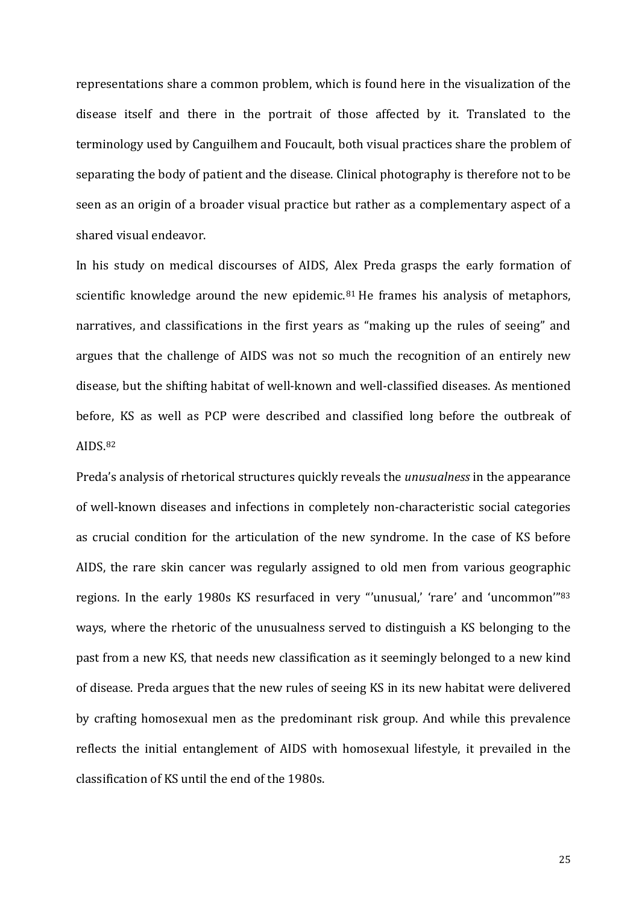representations share a common problem, which is found here in the visualization of the disease itself and there in the portrait of those affected by it. Translated to the terminology used by Canguilhem and Foucault, both visual practices share the problem of separating the body of patient and the disease. Clinical photography is therefore not to be seen as an origin of a broader visual practice but rather as a complementary aspect of a shared visual endeavor.

<span id="page-25-4"></span><span id="page-25-3"></span><span id="page-25-2"></span><span id="page-25-1"></span><span id="page-25-0"></span>In his study on medical discourses of AIDS, Alex Preda grasps the early formation of scientific knowledge around the new epidemic.<sup>[81](#page-30-0)</sup> He frames his analysis of metaphors, narratives, and classifications in the first years as "making up the rules of seeing" and argues that the challenge of AIDS was not so much the recognition of an entirely new disease, but the shifting habitat of well-known and well-classified diseases. As mentioned before, KS as well as PCP were described and classified long before the outbreak of AIDS.[82](#page-30-1)

<span id="page-25-7"></span><span id="page-25-6"></span><span id="page-25-5"></span>Preda's analysis of rhetorical structures quickly reveals the *unusualness* in the appearance of well-known diseases and infections in completely non-characteristic social categories as crucial condition for the articulation of the new syndrome. In the case of KS before AIDS, the rare skin cancer was regularly assigned to old men from various geographic regions. In the early 1980s KS resurfaced in very "'unusual,' 'rare' and 'uncommon'"[83](#page-30-2) ways, where the rhetoric of the unusualness served to distinguish a KS belonging to the past from a new KS, that needs new classification as it seemingly belonged to a new kind of disease. Preda argues that the new rules of seeing KS in its new habitat were delivered by crafting homosexual men as the predominant risk group. And while this prevalence reflects the initial entanglement of AIDS with homosexual lifestyle, it prevailed in the classification of KS until the end of the 1980s.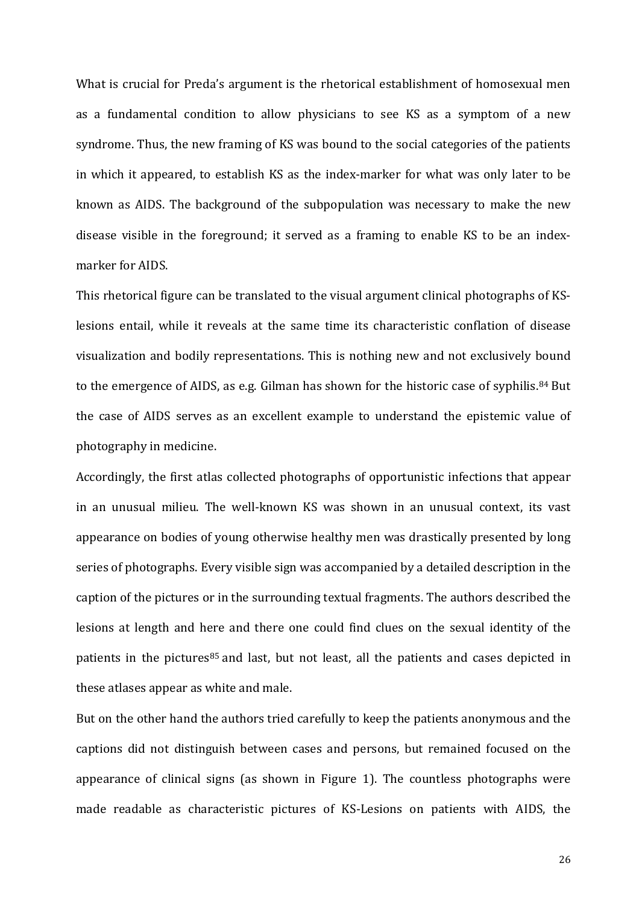What is crucial for Preda's argument is the rhetorical establishment of homosexual men as a fundamental condition to allow physicians to see KS as a symptom of a new syndrome. Thus, the new framing of KS was bound to the social categories of the patients in which it appeared, to establish KS as the index-marker for what was only later to be known as AIDS. The background of the subpopulation was necessary to make the new disease visible in the foreground; it served as a framing to enable KS to be an indexmarker for AIDS.

This rhetorical figure can be translated to the visual argument clinical photographs of KSlesions entail, while it reveals at the same time its characteristic conflation of disease visualization and bodily representations. This is nothing new and not exclusively bound to the emergence of AIDS, as e.g. Gilman has shown for the historic case of syphilis.<sup>[84](#page-31-0)</sup> But the case of AIDS serves as an excellent example to understand the epistemic value of photography in medicine.

<span id="page-26-0"></span>Accordingly, the first atlas collected photographs of opportunistic infections that appear in an unusual milieu. The well-known KS was shown in an unusual context, its vast appearance on bodies of young otherwise healthy men was drastically presented by long series of photographs. Every visible sign was accompanied by a detailed description in the caption of the pictures or in the surrounding textual fragments. The authors described the lesions at length and here and there one could find clues on the sexual identity of the patients in the pictures<sup>[85](#page-31-1)</sup> and last, but not least, all the patients and cases depicted in these atlases appear as white and male.

<span id="page-26-5"></span><span id="page-26-4"></span><span id="page-26-3"></span><span id="page-26-2"></span><span id="page-26-1"></span>But on the other hand the authors tried carefully to keep the patients anonymous and the captions did not distinguish between cases and persons, but remained focused on the appearance of clinical signs (as shown in Figure 1). The countless photographs were made readable as characteristic pictures of KS-Lesions on patients with AIDS, the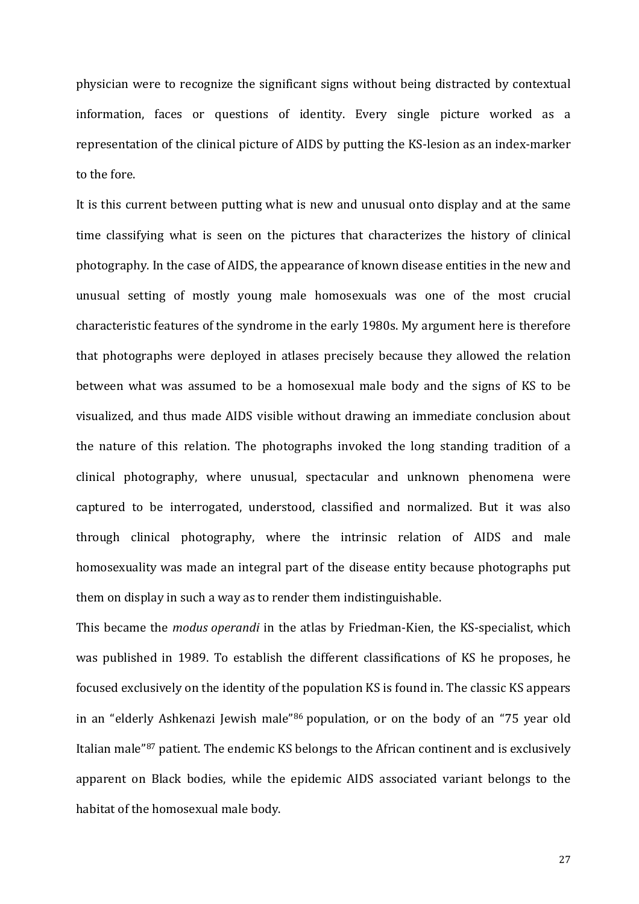<span id="page-27-2"></span>physician were to recognize the significant signs without being distracted by contextual information, faces or questions of identity. Every single picture worked as a representation of the clinical picture of AIDS by putting the KS-lesion as an index-marker to the fore.

It is this current between putting what is new and unusual onto display and at the same time classifying what is seen on the pictures that characterizes the history of clinical photography. In the case of AIDS, the appearance of known disease entities in the new and unusual setting of mostly young male homosexuals was one of the most crucial characteristic features of the syndrome in the early 1980s. My argument here is therefore that photographs were deployed in atlases precisely because they allowed the relation between what was assumed to be a homosexual male body and the signs of KS to be visualized, and thus made AIDS visible without drawing an immediate conclusion about the nature of this relation. The photographs invoked the long standing tradition of a clinical photography, where unusual, spectacular and unknown phenomena were captured to be interrogated, understood, classified and normalized. But it was also through clinical photography, where the intrinsic relation of AIDS and male homosexuality was made an integral part of the disease entity because photographs put them on display in such a way as to render them indistinguishable.

<span id="page-27-1"></span><span id="page-27-0"></span>This became the *modus operandi* in the atlas by Friedman-Kien, the KS-specialist, which was published in 1989. To establish the different classifications of KS he proposes, he focused exclusively on the identity of the population KS is found in. The classic KS appears in an "elderly Ashkenazi Jewish male"[86](#page-31-2) population, or on the body of an "75 year old Italian male["87](#page-31-3) patient. The endemic KS belongs to the African continent and is exclusively apparent on Black bodies, while the epidemic AIDS associated variant belongs to the habitat of the homosexual male body.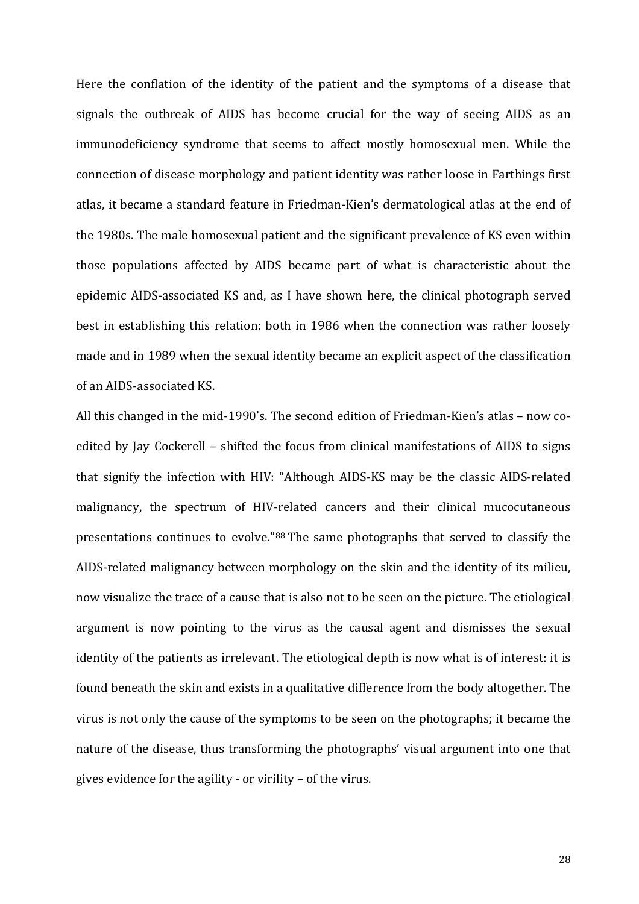<span id="page-28-1"></span><span id="page-28-0"></span>Here the conflation of the identity of the patient and the symptoms of a disease that signals the outbreak of AIDS has become crucial for the way of seeing AIDS as an immunodeficiency syndrome that seems to affect mostly homosexual men. While the connection of disease morphology and patient identity was rather loose in Farthings first atlas, it became a standard feature in Friedman-Kien's dermatological atlas at the end of the 1980s. The male homosexual patient and the significant prevalence of KS even within those populations affected by AIDS became part of what is characteristic about the epidemic AIDS-associated KS and, as I have shown here, the clinical photograph served best in establishing this relation: both in 1986 when the connection was rather loosely made and in 1989 when the sexual identity became an explicit aspect of the classification of an AIDS-associated KS.

All this changed in the mid-1990's. The second edition of Friedman-Kien's atlas – now coedited by Jay Cockerell – shifted the focus from clinical manifestations of AIDS to signs that signify the infection with HIV: "Although AIDS-KS may be the classic AIDS-related malignancy, the spectrum of HIV-related cancers and their clinical mucocutaneous presentations continues to evolve."[88](#page-32-0) The same photographs that served to classify the AIDS-related malignancy between morphology on the skin and the identity of its milieu, now visualize the trace of a cause that is also not to be seen on the picture. The etiological argument is now pointing to the virus as the causal agent and dismisses the sexual identity of the patients as irrelevant. The etiological depth is now what is of interest: it is found beneath the skin and exists in a qualitative difference from the body altogether. The virus is not only the cause of the symptoms to be seen on the photographs; it became the nature of the disease, thus transforming the photographs' visual argument into one that gives evidence for the agility - or virility – of the virus.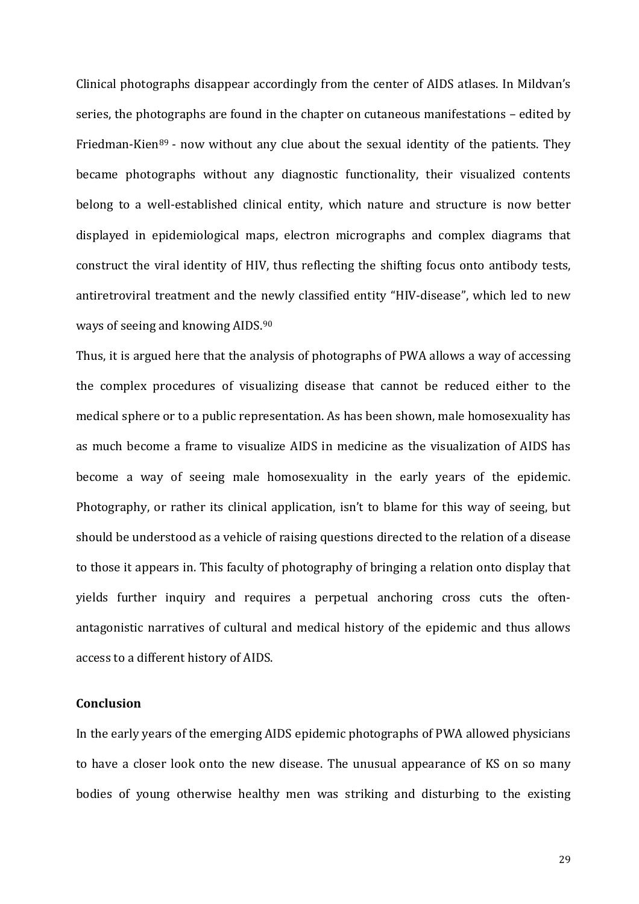<span id="page-29-1"></span><span id="page-29-0"></span>Clinical photographs disappear accordingly from the center of AIDS atlases. In Mildvan's series, the photographs are found in the chapter on cutaneous manifestations – edited by Friedman-Kien<sup>[89](#page-33-0)</sup> - now without any clue about the sexual identity of the patients. They became photographs without any diagnostic functionality, their visualized contents belong to a well-established clinical entity, which nature and structure is now better displayed in epidemiological maps, electron micrographs and complex diagrams that construct the viral identity of HIV, thus reflecting the shifting focus onto antibody tests, antiretroviral treatment and the newly classified entity "HIV-disease", which led to new ways of seeing and knowing AIDS.[90](#page-33-1)

<span id="page-29-3"></span><span id="page-29-2"></span>Thus, it is argued here that the analysis of photographs of PWA allows a way of accessing the complex procedures of visualizing disease that cannot be reduced either to the medical sphere or to a public representation. As has been shown, male homosexuality has as much become a frame to visualize AIDS in medicine as the visualization of AIDS has become a way of seeing male homosexuality in the early years of the epidemic. Photography, or rather its clinical application, isn't to blame for this way of seeing, but should be understood as a vehicle of raising questions directed to the relation of a disease to those it appears in. This faculty of photography of bringing a relation onto display that yields further inquiry and requires a perpetual anchoring cross cuts the oftenantagonistic narratives of cultural and medical history of the epidemic and thus allows access to a different history of AIDS.

#### **Conclusion**

In the early years of the emerging AIDS epidemic photographs of PWA allowed physicians to have a closer look onto the new disease. The unusual appearance of KS on so many bodies of young otherwise healthy men was striking and disturbing to the existing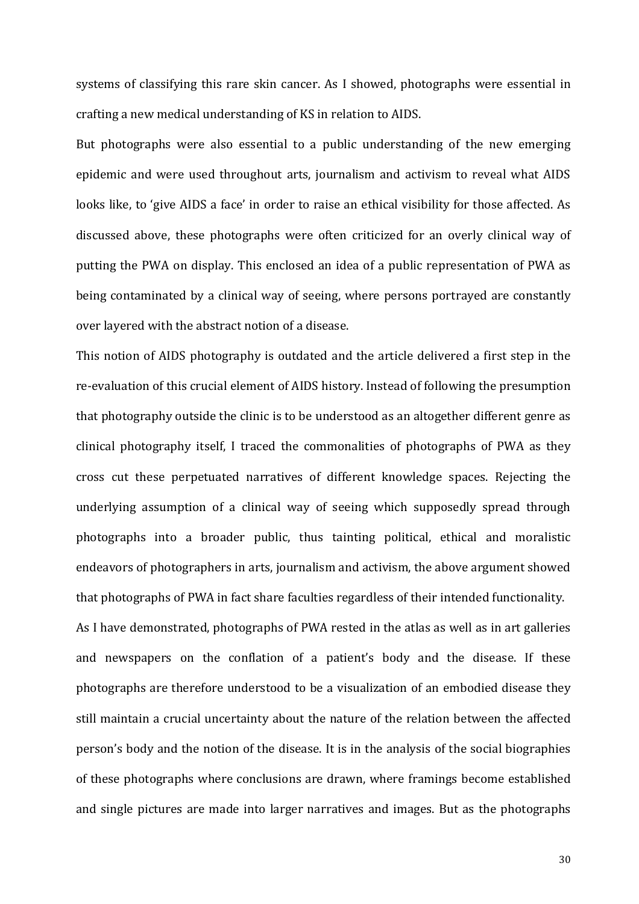systems of classifying this rare skin cancer. As I showed, photographs were essential in crafting a new medical understanding of KS in relation to AIDS.

But photographs were also essential to a public understanding of the new emerging epidemic and were used throughout arts, journalism and activism to reveal what AIDS looks like, to 'give AIDS a face' in order to raise an ethical visibility for those affected. As discussed above, these photographs were often criticized for an overly clinical way of putting the PWA on display. This enclosed an idea of a public representation of PWA as being contaminated by a clinical way of seeing, where persons portrayed are constantly over layered with the abstract notion of a disease.

<span id="page-30-2"></span><span id="page-30-1"></span><span id="page-30-0"></span>This notion of AIDS photography is outdated and the article delivered a first step in the re-evaluation of this crucial element of AIDS history. Instead of following the presumption that photography outside the clinic is to be understood as an altogether different genre as clinical photography itself, I traced the commonalities of photographs of PWA as they cross cut these perpetuated narratives of different knowledge spaces. Rejecting the underlying assumption of a clinical way of seeing which supposedly spread through photographs into a broader public, thus tainting political, ethical and moralistic endeavors of photographers in arts, journalism and activism, the above argument showed that photographs of PWA in fact share faculties regardless of their intended functionality. As I have demonstrated, photographs of PWA rested in the atlas as well as in art galleries and newspapers on the conflation of a patient's body and the disease. If these photographs are therefore understood to be a visualization of an embodied disease they still maintain a crucial uncertainty about the nature of the relation between the affected person's body and the notion of the disease. It is in the analysis of the social biographies of these photographs where conclusions are drawn, where framings become established and single pictures are made into larger narratives and images. But as the photographs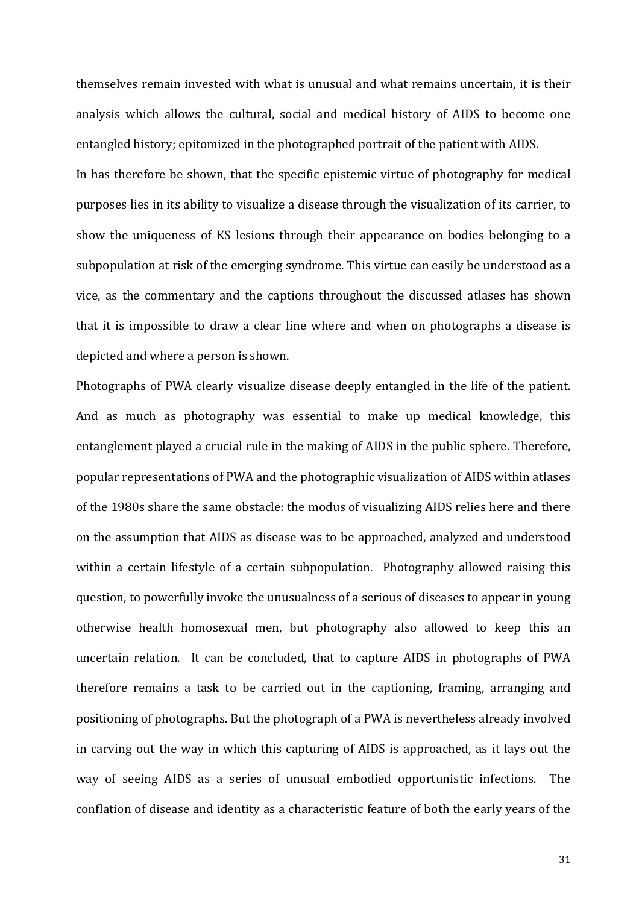themselves remain invested with what is unusual and what remains uncertain, it is their analysis which allows the cultural, social and medical history of AIDS to become one entangled history; epitomized in the photographed portrait of the patient with AIDS. In has therefore be shown, that the specific epistemic virtue of photography for medical purposes lies in its ability to visualize a disease through the visualization of its carrier, to show the uniqueness of KS lesions through their appearance on bodies belonging to a subpopulation at risk of the emerging syndrome. This virtue can easily be understood as a vice, as the commentary and the captions throughout the discussed atlases has shown that it is impossible to draw a clear line where and when on photographs a disease is depicted and where a person is shown.

<span id="page-31-3"></span><span id="page-31-2"></span><span id="page-31-1"></span><span id="page-31-0"></span>Photographs of PWA clearly visualize disease deeply entangled in the life of the patient. And as much as photography was essential to make up medical knowledge, this entanglement played a crucial rule in the making of AIDS in the public sphere. Therefore, popular representations of PWA and the photographic visualization of AIDS within atlases of the 1980s share the same obstacle: the modus of visualizing AIDS relies here and there on the assumption that AIDS as disease was to be approached, analyzed and understood within a certain lifestyle of a certain subpopulation. Photography allowed raising this question, to powerfully invoke the unusualness of a serious of diseases to appear in young otherwise health homosexual men, but photography also allowed to keep this an uncertain relation. It can be concluded, that to capture AIDS in photographs of PWA therefore remains a task to be carried out in the captioning, framing, arranging and positioning of photographs. But the photograph of a PWA is nevertheless already involved in carving out the way in which this capturing of AIDS is approached, as it lays out the way of seeing AIDS as a series of unusual embodied opportunistic infections. The conflation of disease and identity as a characteristic feature of both the early years of the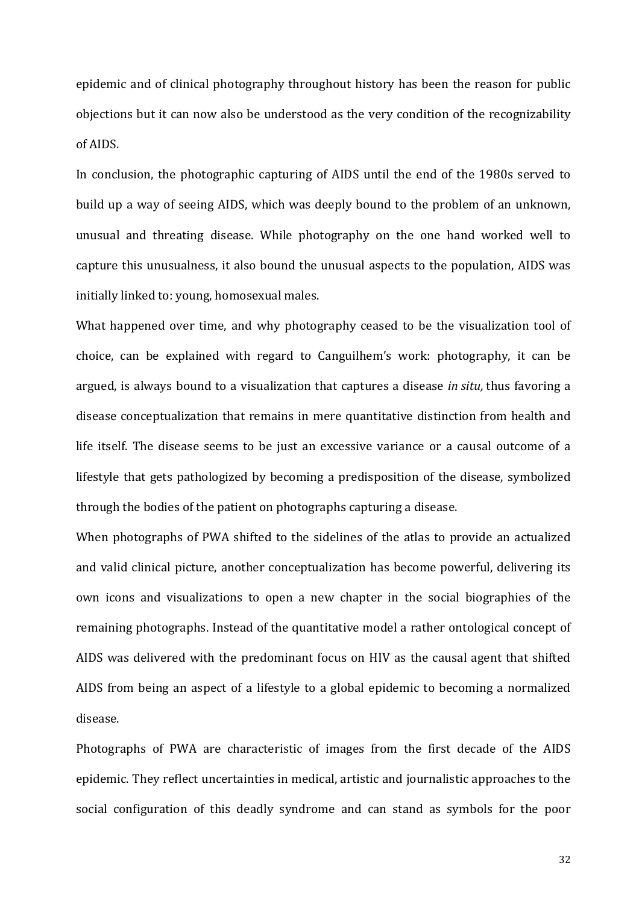epidemic and of clinical photography throughout history has been the reason for public objections but it can now also be understood as the very condition of the recognizability of AIDS.

In conclusion, the photographic capturing of AIDS until the end of the 1980s served to build up a way of seeing AIDS, which was deeply bound to the problem of an unknown, unusual and threating disease. While photography on the one hand worked well to capture this unusualness, it also bound the unusual aspects to the population, AIDS was initially linked to: young, homosexual males.

What happened over time, and why photography ceased to be the visualization tool of choice, can be explained with regard to Canguilhem's work: photography, it can be argued, is always bound to a visualization that captures a disease *in situ,* thus favoring a disease conceptualization that remains in mere quantitative distinction from health and life itself. The disease seems to be just an excessive variance or a causal outcome of a lifestyle that gets pathologized by becoming a predisposition of the disease, symbolized through the bodies of the patient on photographs capturing a disease.

When photographs of PWA shifted to the sidelines of the atlas to provide an actualized and valid clinical picture, another conceptualization has become powerful, delivering its own icons and visualizations to open a new chapter in the social biographies of the remaining photographs. Instead of the quantitative model a rather ontological concept of AIDS was delivered with the predominant focus on HIV as the causal agent that shifted AIDS from being an aspect of a lifestyle to a global epidemic to becoming a normalized disease.

<span id="page-32-0"></span>Photographs of PWA are characteristic of images from the first decade of the AIDS epidemic. They reflect uncertainties in medical, artistic and journalistic approaches to the social configuration of this deadly syndrome and can stand as symbols for the poor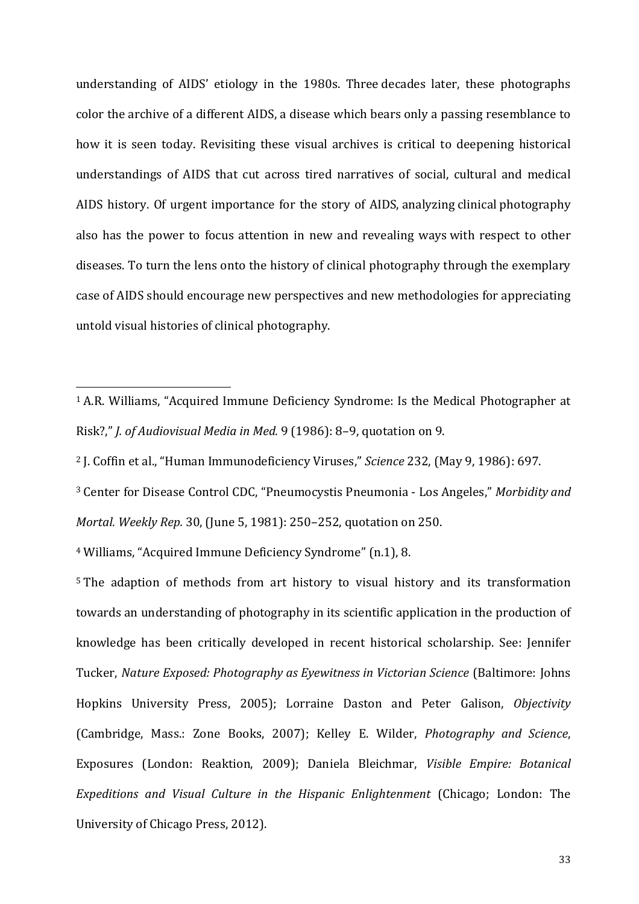understanding of AIDS' etiology in the 1980s. Three decades later, these photographs color the archive of a different AIDS, a disease which bears only a passing resemblance to how it is seen today. Revisiting these visual archives is critical to deepening historical understandings of AIDS that cut across tired narratives of social, cultural and medical AIDS history. Of urgent importance for the story of AIDS, analyzing clinical photography also has the power to focus attention in new and revealing ways with respect to other diseases. To turn the lens onto the history of clinical photography through the exemplary case of AIDS should encourage new perspectives and new methodologies for appreciating untold visual histories of clinical photography.

<sup>3</sup> Center for Disease Control CDC, "Pneumocystis Pneumonia - Los Angeles," *Morbidity and Mortal. Weekly Rep.* 30, (June 5, 1981): 250–252, quotation on 250.

<sup>4</sup> Williams, "Acquired Immune Deficiency Syndrome" (n.1), 8.

<span id="page-33-1"></span><span id="page-33-0"></span><sup>5</sup> The adaption of methods from art history to visual history and its transformation towards an understanding of photography in its scientific application in the production of knowledge has been critically developed in recent historical scholarship. See: Jennifer Tucker, *Nature Exposed: Photography as Eyewitness in Victorian Science* (Baltimore: Johns Hopkins University Press, 2005); Lorraine Daston and Peter Galison, *Objectivity* (Cambridge, Mass.: Zone Books, 2007); Kelley E. Wilder, *Photography and Science*, Exposures (London: Reaktion, 2009); Daniela Bleichmar, *Visible Empire: Botanical Expeditions and Visual Culture in the Hispanic Enlightenment* (Chicago; London: The University of Chicago Press, 2012).

<sup>1</sup> A.R. Williams, "Acquired Immune Deficiency Syndrome: Is the Medical Photographer at Risk?," *J. of Audiovisual Media in Med.* 9 (1986): 8–9, quotation on 9. j

<sup>2</sup> J. Coffin et al., "Human Immunodeficiency Viruses," *Science* 232, (May 9, 1986): 697.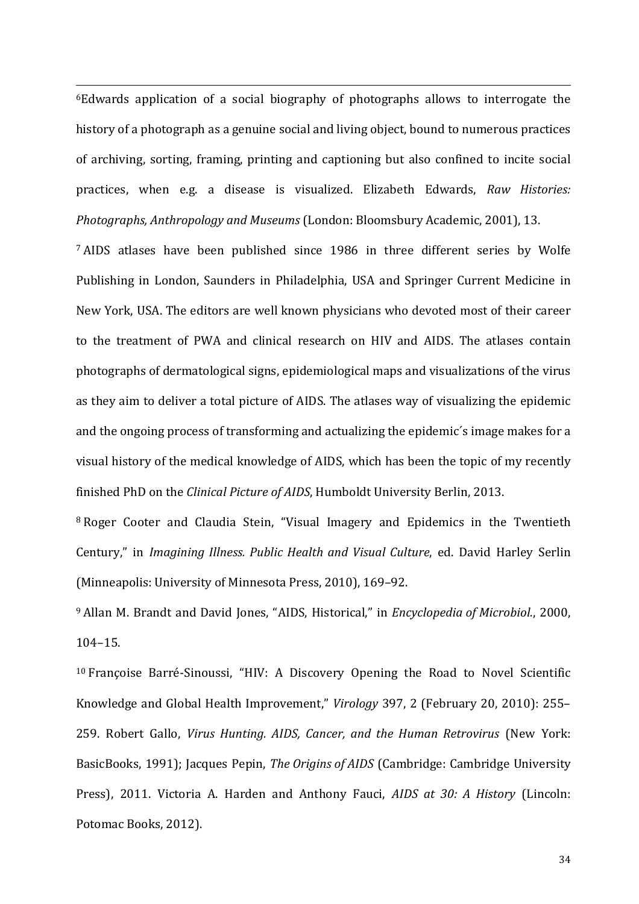6Edwards application of a social biography of photographs allows to interrogate the history of a photograph as a genuine social and living object, bound to numerous practices of archiving, sorting, framing, printing and captioning but also confined to incite social practices, when e.g. a disease is visualized. Elizabeth Edwards, *Raw Histories: Photographs, Anthropology and Museums* (London: Bloomsbury Academic, 2001), 13. ֖֖֖֖֚֚֚֚֚֚֬

<sup>7</sup> AIDS atlases have been published since 1986 in three different series by Wolfe Publishing in London, Saunders in Philadelphia, USA and Springer Current Medicine in New York, USA. The editors are well known physicians who devoted most of their career to the treatment of PWA and clinical research on HIV and AIDS. The atlases contain photographs of dermatological signs, epidemiological maps and visualizations of the virus as they aim to deliver a total picture of AIDS. The atlases way of visualizing the epidemic and the ongoing process of transforming and actualizing the epidemic´s image makes for a visual history of the medical knowledge of AIDS, which has been the topic of my recently finished PhD on the *Clinical Picture of AIDS*, Humboldt University Berlin, 2013.

<sup>8</sup> Roger Cooter and Claudia Stein, "Visual Imagery and Epidemics in the Twentieth Century," in *Imagining Illness. Public Health and Visual Culture*, ed. David Harley Serlin (Minneapolis: University of Minnesota Press, 2010), 169–92.

<sup>9</sup> Allan M. Brandt and David Jones, "AIDS, Historical," in *Encyclopedia of Microbiol.*, 2000, 104–15.

<sup>10</sup> Françoise Barré-Sinoussi, "HIV: A Discovery Opening the Road to Novel Scientific Knowledge and Global Health Improvement," *Virology* 397, 2 (February 20, 2010): 255– 259. Robert Gallo, *Virus Hunting. AIDS, Cancer, and the Human Retrovirus* (New York: BasicBooks, 1991); Jacques Pepin, *The Origins of AIDS* (Cambridge: Cambridge University Press), 2011. Victoria A. Harden and Anthony Fauci, *AIDS at 30: A History* (Lincoln: Potomac Books, 2012).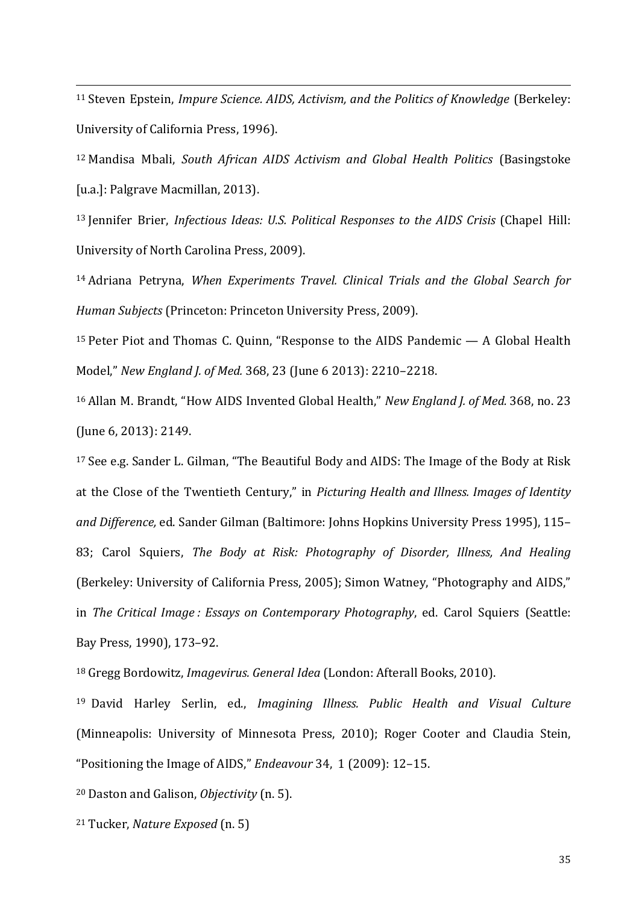<sup>11</sup> Steven Epstein, *Impure Science. AIDS, Activism, and the Politics of Knowledge* (Berkeley: University of California Press, 1996). j

<sup>12</sup> Mandisa Mbali, *South African AIDS Activism and Global Health Politics* (Basingstoke [u.a.]: Palgrave Macmillan, 2013).

<sup>13</sup> Jennifer Brier, *Infectious Ideas: U.S. Political Responses to the AIDS Crisis* (Chapel Hill: University of North Carolina Press, 2009).

<sup>14</sup> Adriana Petryna, *When Experiments Travel. Clinical Trials and the Global Search for Human Subjects* (Princeton: Princeton University Press, 2009).

<sup>15</sup> Peter Piot and Thomas C. Quinn, "Response to the AIDS Pandemic — A Global Health Model," *New England J. of Med.* 368, 23 (June 6 2013): 2210–2218.

<sup>16</sup> Allan M. Brandt, "How AIDS Invented Global Health," *New England J. of Med.* 368, no. 23 (June 6, 2013): 2149.

<sup>17</sup> See e.g. Sander L. Gilman, "The Beautiful Body and AIDS: The Image of the Body at Risk at the Close of the Twentieth Century," in *Picturing Health and Illness. Images of Identity and Difference,* ed. Sander Gilman (Baltimore: Johns Hopkins University Press 1995), 115– 83; Carol Squiers, *The Body at Risk: Photography of Disorder, Illness, And Healing* (Berkeley: University of California Press, 2005); Simon Watney, "Photography and AIDS," in *The Critical Image : Essays on Contemporary Photography*, ed. Carol Squiers (Seattle: Bay Press, 1990), 173–92.

<sup>18</sup> Gregg Bordowitz, *Imagevirus. General Idea* (London: Afterall Books, 2010).

<sup>19</sup> David Harley Serlin, ed., *Imagining Illness. Public Health and Visual Culture* (Minneapolis: University of Minnesota Press, 2010); Roger Cooter and Claudia Stein, "Positioning the Image of AIDS," *Endeavour* 34, 1 (2009): 12–15.

<sup>20</sup> Daston and Galison, *Objectivity* (n. 5).

<sup>21</sup> Tucker, *Nature Exposed* (n. 5)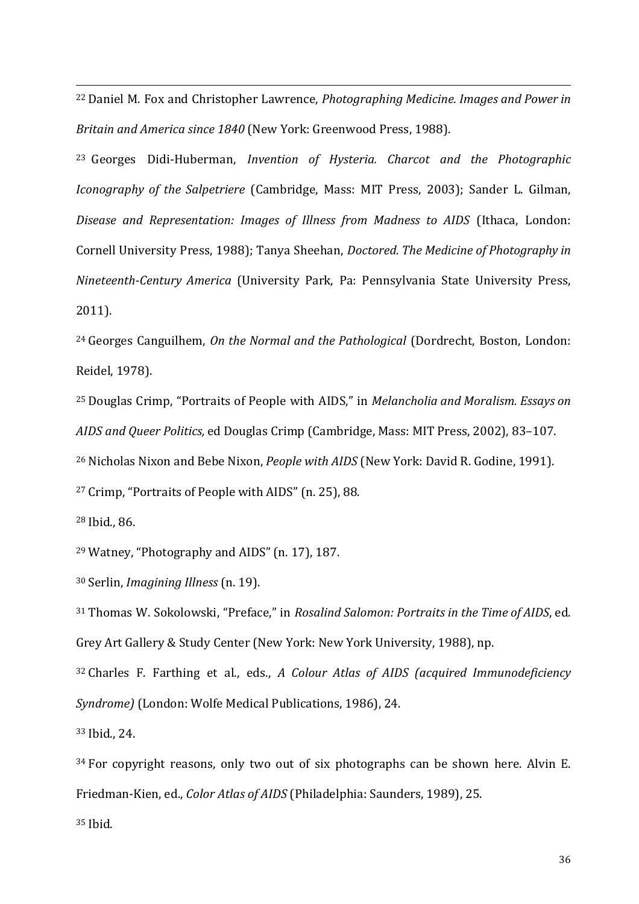<sup>22</sup> Daniel M. Fox and Christopher Lawrence, *Photographing Medicine. Images and Power in Britain and America since 1840* (New York: Greenwood Press, 1988). j

<sup>23</sup> Georges Didi-Huberman, *Invention of Hysteria. Charcot and the Photographic Iconography of the Salpetriere* (Cambridge, Mass: MIT Press, 2003); Sander L. Gilman, *Disease and Representation: Images of Illness from Madness to AIDS* (Ithaca, London: Cornell University Press, 1988); Tanya Sheehan, *Doctored. The Medicine of Photography in Nineteenth-Century America* (University Park, Pa: Pennsylvania State University Press, 2011).

<sup>24</sup> Georges Canguilhem, *On the Normal and the Pathological* (Dordrecht, Boston, London: Reidel, 1978).

<sup>25</sup> Douglas Crimp, "Portraits of People with AIDS," in *Melancholia and Moralism. Essays on AIDS and Queer Politics,* ed Douglas Crimp (Cambridge, Mass: MIT Press, 2002), 83–107.

<sup>26</sup> Nicholas Nixon and Bebe Nixon, *People with AIDS* (New York: David R. Godine, 1991).

<sup>27</sup> Crimp, "Portraits of People with AIDS" (n. 25), 88.

<sup>28</sup> Ibid., 86.

<sup>29</sup> Watney, "Photography and AIDS" (n. 17), 187.

<sup>30</sup> Serlin, *Imagining Illness* (n. 19).

<sup>31</sup> Thomas W. Sokolowski, "Preface," in *Rosalind Salomon: Portraits in the Time of AIDS*, ed. Grey Art Gallery & Study Center (New York: New York University, 1988), np.

<sup>32</sup> Charles F. Farthing et al., eds., *A Colour Atlas of AIDS (acquired Immunodeficiency Syndrome)* (London: Wolfe Medical Publications, 1986), 24.

<sup>33</sup> Ibid., 24.

<sup>34</sup> For copyright reasons, only two out of six photographs can be shown here. Alvin E. Friedman-Kien, ed., *Color Atlas of AIDS* (Philadelphia: Saunders, 1989), 25.

<sup>35</sup> Ibid.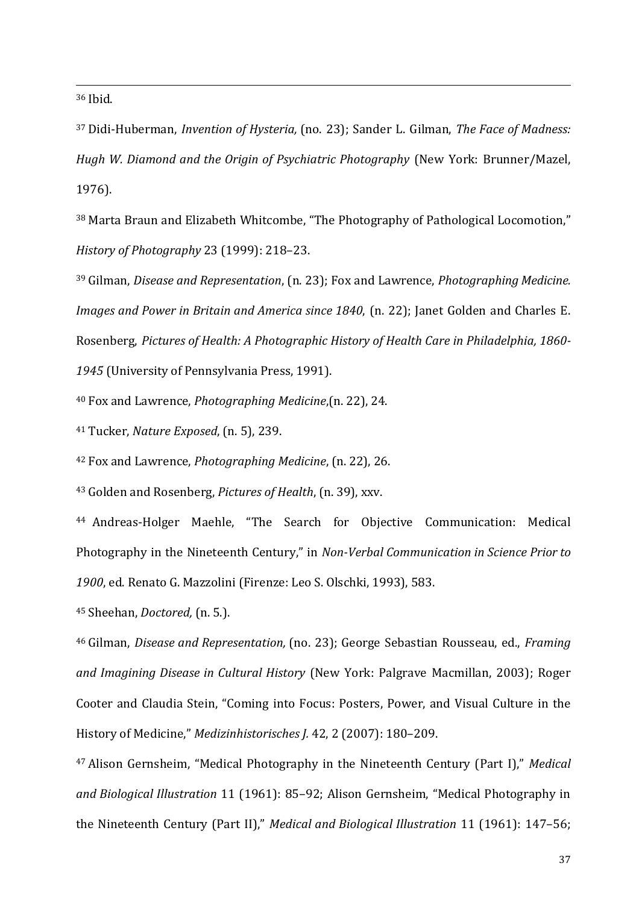$36$  Ibid. j

<sup>37</sup> Didi-Huberman, *Invention of Hysteria,* (no. 23); Sander L. Gilman, *The Face of Madness: Hugh W. Diamond and the Origin of Psychiatric Photography* (New York: Brunner/Mazel, 1976).

<sup>38</sup> Marta Braun and Elizabeth Whitcombe, "The Photography of Pathological Locomotion," *History of Photography* 23 (1999): 218–23.

<sup>39</sup> Gilman, *Disease and Representation*, (n. 23); Fox and Lawrence, *Photographing Medicine. Images and Power in Britain and America since 1840*, (n. 22); Janet Golden and Charles E. Rosenberg, *Pictures of Health: A Photographic History of Health Care in Philadelphia, 1860- 1945* (University of Pennsylvania Press, 1991).

<sup>40</sup> Fox and Lawrence, *Photographing Medicine*,(n. 22), 24.

<sup>41</sup> Tucker, *Nature Exposed*, (n. 5), 239.

<sup>42</sup> Fox and Lawrence, *Photographing Medicine*, (n. 22), 26.

<sup>43</sup> Golden and Rosenberg, *Pictures of Health*, (n. 39), xxv.

<sup>44</sup> Andreas-Holger Maehle, "The Search for Objective Communication: Medical Photography in the Nineteenth Century," in *Non-Verbal Communication in Science Prior to 1900*, ed. Renato G. Mazzolini (Firenze: Leo S. Olschki, 1993), 583.

<sup>45</sup> Sheehan, *Doctored,* (n. 5.).

<sup>46</sup> Gilman, *Disease and Representation,* (no. 23); George Sebastian Rousseau, ed., *Framing and Imagining Disease in Cultural History* (New York: Palgrave Macmillan, 2003); Roger Cooter and Claudia Stein, "Coming into Focus: Posters, Power, and Visual Culture in the History of Medicine," *Medizinhistorisches J.* 42, 2 (2007): 180–209.

<sup>47</sup> Alison Gernsheim, "Medical Photography in the Nineteenth Century (Part I)," *Medical and Biological Illustration* 11 (1961): 85–92; Alison Gernsheim, "Medical Photography in the Nineteenth Century (Part II)," *Medical and Biological Illustration* 11 (1961): 147–56;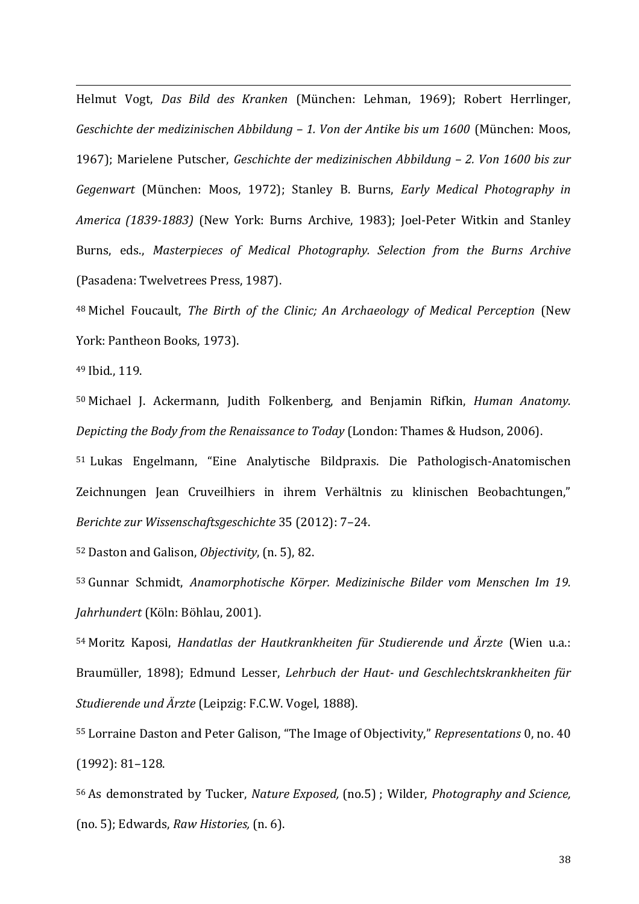Helmut Vogt, *Das Bild des Kranken* (München: Lehman, 1969); Robert Herrlinger, *Geschichte der medizinischen Abbildung – 1. Von der Antike bis um 1600* (München: Moos, 1967); Marielene Putscher, *Geschichte der medizinischen Abbildung – 2. Von 1600 bis zur Gegenwart* (München: Moos, 1972); Stanley B. Burns, *Early Medical Photography in America (1839-1883)* (New York: Burns Archive, 1983); Joel-Peter Witkin and Stanley Burns, eds., *Masterpieces of Medical Photography. Selection from the Burns Archive* (Pasadena: Twelvetrees Press, 1987). j

<sup>48</sup> Michel Foucault, *The Birth of the Clinic; An Archaeology of Medical Perception* (New York: Pantheon Books, 1973).

<sup>49</sup> Ibid., 119.

<sup>50</sup> Michael J. Ackermann, Judith Folkenberg, and Benjamin Rifkin, *Human Anatomy. Depicting the Body from the Renaissance to Today* (London: Thames & Hudson, 2006).

<sup>51</sup> Lukas Engelmann, "Eine Analytische Bildpraxis. Die Pathologisch-Anatomischen Zeichnungen Jean Cruveilhiers in ihrem Verhältnis zu klinischen Beobachtungen," *Berichte zur Wissenschaftsgeschichte* 35 (2012): 7–24.

<sup>52</sup> Daston and Galison, *Objectivity*, (n. 5), 82.

<sup>53</sup> Gunnar Schmidt, *Anamorphotische Körper. Medizinische Bilder vom Menschen Im 19. Jahrhundert* (Köln: Böhlau, 2001).

<sup>54</sup> Moritz Kaposi, *Handatlas der Hautkrankheiten für Studierende und Ärzte* (Wien u.a.: Braumüller, 1898); Edmund Lesser, *Lehrbuch der Haut- und Geschlechtskrankheiten für Studierende und Ärzte* (Leipzig: F.C.W. Vogel, 1888).

<sup>55</sup> Lorraine Daston and Peter Galison, "The Image of Objectivity," *Representations* 0, no. 40 (1992): 81–128.

<sup>56</sup> As demonstrated by Tucker, *Nature Exposed,* (no.5) ; Wilder, *Photography and Science,*  (no. 5); Edwards, *Raw Histories,* (n. 6).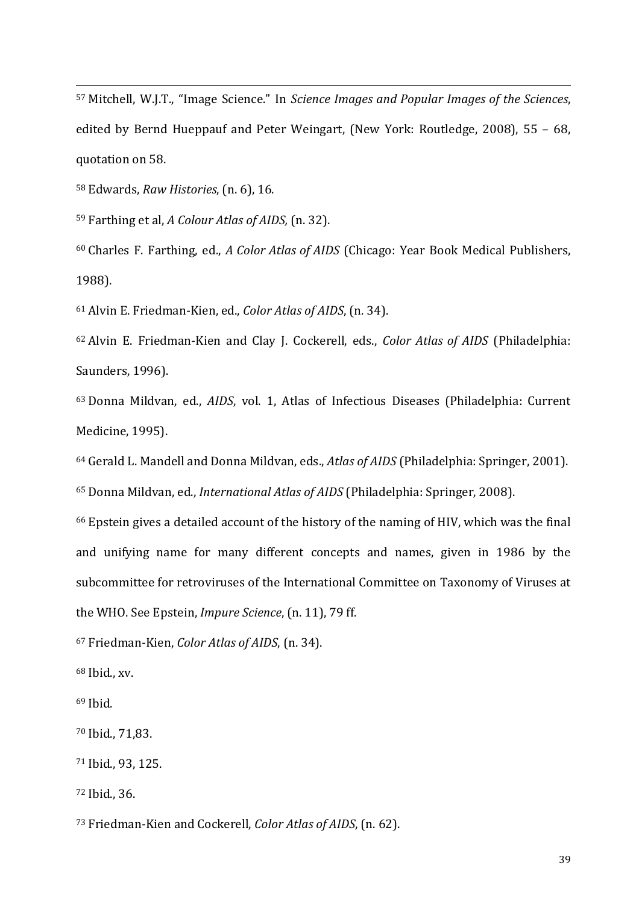Mitchell, W.J.T., "Image Science." In *Science Images and Popular Images of the Sciences*, edited by Bernd Hueppauf and Peter Weingart, (New York: Routledge, 2008), 55 – 68, quotation on 58. İ

Edwards, *Raw Histories*, (n. 6), 16.

Farthing et al, *A Colour Atlas of AIDS,* (n. 32).

 Charles F. Farthing, ed., *A Color Atlas of AIDS* (Chicago: Year Book Medical Publishers, 1988).

Alvin E. Friedman-Kien, ed., *Color Atlas of AIDS*, (n. 34).

 Alvin E. Friedman-Kien and Clay J. Cockerell, eds., *Color Atlas of AIDS* (Philadelphia: Saunders, 1996).

 Donna Mildvan, ed., *AIDS*, vol. 1, Atlas of Infectious Diseases (Philadelphia: Current Medicine, 1995).

 Gerald L. Mandell and Donna Mildvan, eds., *Atlas of AIDS* (Philadelphia: Springer, 2001). Donna Mildvan, ed., *International Atlas of AIDS* (Philadelphia: Springer, 2008).

 Epstein gives a detailed account of the history of the naming of HIV, which was the final and unifying name for many different concepts and names, given in 1986 by the subcommittee for retroviruses of the International Committee on Taxonomy of Viruses at the WHO. See Epstein, *Impure Science*, (n. 11), 79 ff.

Friedman-Kien, *Color Atlas of AIDS*, (n. 34).

Ibid., xv.

Ibid.

Ibid., 71,83.

Ibid., 93, 125.

Ibid., 36.

Friedman-Kien and Cockerell, *Color Atlas of AIDS*, (n. 62).